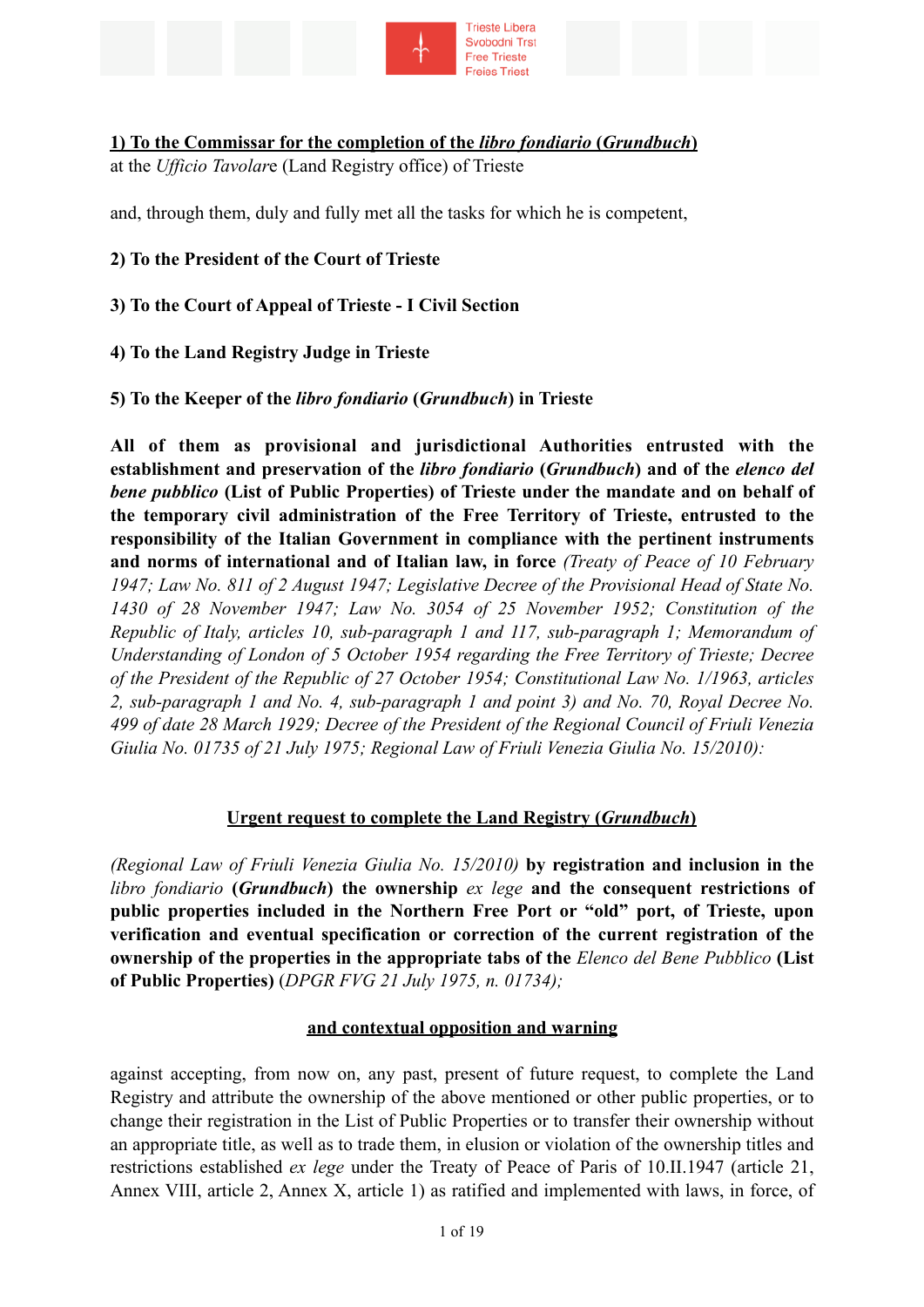

### **1) To the Commissar for the completion of the** *libro fondiario* **(***Grundbuch***)**

at the *Ufficio Tavolar*e (Land Registry office) of Trieste

and, through them, duly and fully met all the tasks for which he is competent,

**2) To the President of the Court of Trieste** 

**3) To the Court of Appeal of Trieste - I Civil Section** 

**4) To the Land Registry Judge in Trieste** 

#### **5) To the Keeper of the** *libro fondiario* **(***Grundbuch***) in Trieste**

**All of them as provisional and jurisdictional Authorities entrusted with the establishment and preservation of the** *libro fondiario* **(***Grundbuch***) and of the** *elenco del bene pubblico* **(List of Public Properties) of Trieste under the mandate and on behalf of the temporary civil administration of the Free Territory of Trieste, entrusted to the responsibility of the Italian Government in compliance with the pertinent instruments and norms of international and of Italian law, in force** *(Treaty of Peace of 10 February 1947; Law No. 811 of 2 August 1947; Legislative Decree of the Provisional Head of State No. 1430 of 28 November 1947; Law No. 3054 of 25 November 1952; Constitution of the Republic of Italy, articles 10, sub-paragraph 1 and 117, sub-paragraph 1; Memorandum of Understanding of London of 5 October 1954 regarding the Free Territory of Trieste; Decree of the President of the Republic of 27 October 1954; Constitutional Law No. 1/1963, articles 2, sub-paragraph 1 and No. 4, sub-paragraph 1 and point 3) and No. 70, Royal Decree No. 499 of date 28 March 1929; Decree of the President of the Regional Council of Friuli Venezia Giulia No. 01735 of 21 July 1975; Regional Law of Friuli Venezia Giulia No. 15/2010):*

#### **Urgent request to complete the Land Registry (***Grundbuch***)**

*(Regional Law of Friuli Venezia Giulia No. 15/2010)* **by registration and inclusion in the**  *libro fondiario* **(***Grundbuch***) the ownership** *ex lege* **and the consequent restrictions of public properties included in the Northern Free Port or "old" port, of Trieste, upon verification and eventual specification or correction of the current registration of the ownership of the properties in the appropriate tabs of the** *Elenco del Bene Pubblico* **(List of Public Properties)** (*DPGR FVG 21 July 1975, n. 01734);*

#### **and contextual opposition and warning**

against accepting, from now on, any past, present of future request, to complete the Land Registry and attribute the ownership of the above mentioned or other public properties, or to change their registration in the List of Public Properties or to transfer their ownership without an appropriate title, as well as to trade them, in elusion or violation of the ownership titles and restrictions established *ex lege* under the Treaty of Peace of Paris of 10.II.1947 (article 21, Annex VIII, article 2, Annex X, article 1) as ratified and implemented with laws, in force, of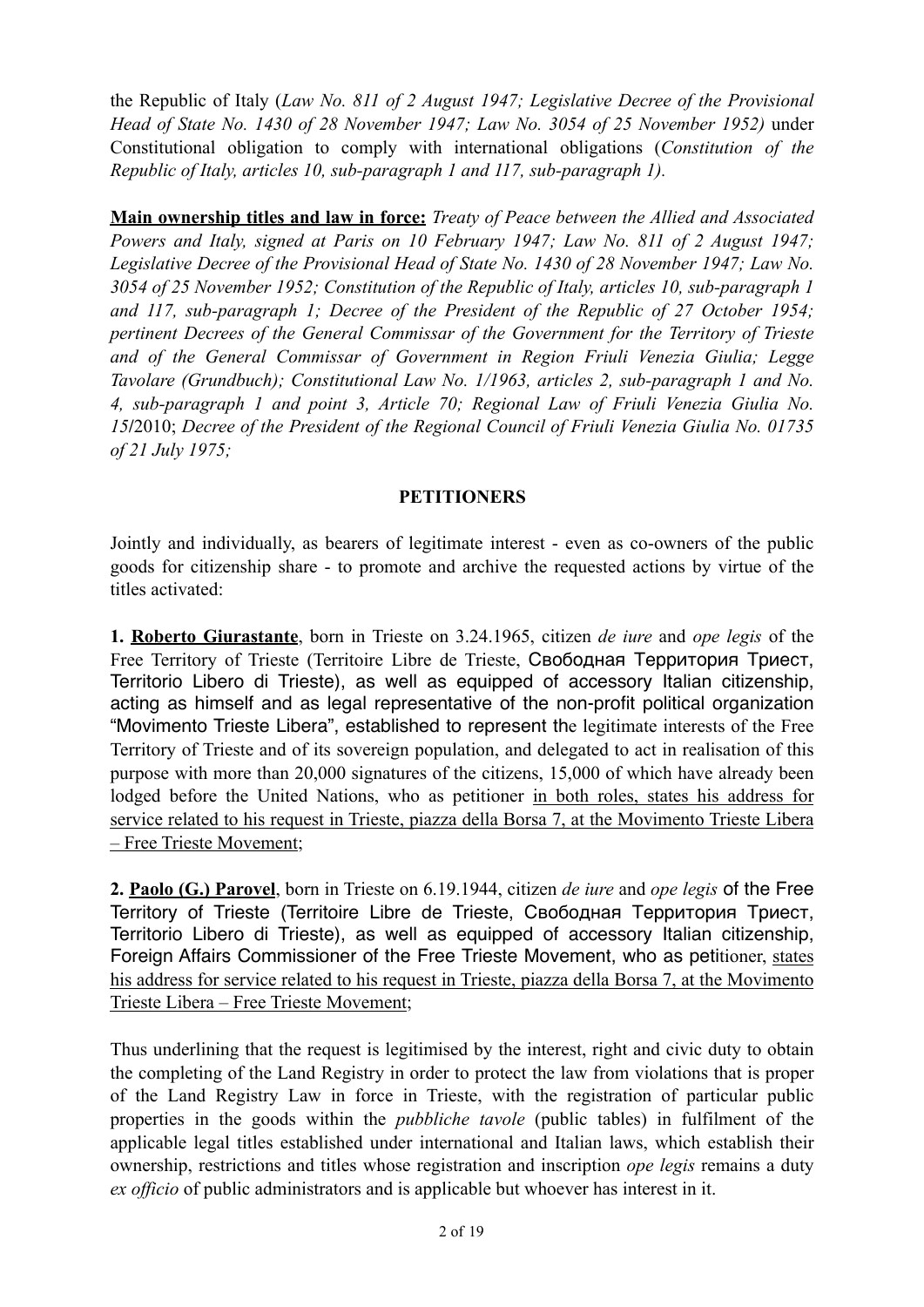the Republic of Italy (*Law No. 811 of 2 August 1947; Legislative Decree of the Provisional Head of State No. 1430 of 28 November 1947; Law No. 3054 of 25 November 1952)* under Constitutional obligation to comply with international obligations (*Constitution of the Republic of Italy, articles 10, sub-paragraph 1 and 117, sub-paragraph 1).*

**Main ownership titles and law in force:** *Treaty of Peace between the Allied and Associated Powers and Italy, signed at Paris on 10 February 1947; Law No. 811 of 2 August 1947; Legislative Decree of the Provisional Head of State No. 1430 of 28 November 1947; Law No. 3054 of 25 November 1952; Constitution of the Republic of Italy, articles 10, sub-paragraph 1 and 117, sub-paragraph 1; Decree of the President of the Republic of 27 October 1954; pertinent Decrees of the General Commissar of the Government for the Territory of Trieste and of the General Commissar of Government in Region Friuli Venezia Giulia; Legge Tavolare (Grundbuch); Constitutional Law No. 1/1963, articles 2, sub-paragraph 1 and No. 4, sub-paragraph 1 and point 3, Article 70; Regional Law of Friuli Venezia Giulia No. 15***/**2010; *Decree of the President of the Regional Council of Friuli Venezia Giulia No. 01735 of 21 July 1975;*

### **PETITIONERS**

Jointly and individually, as bearers of legitimate interest - even as co-owners of the public goods for citizenship share - to promote and archive the requested actions by virtue of the titles activated:

**1. Roberto Giurastante**, born in Trieste on 3.24.1965, citizen *de iure* and *ope legis* of the Free Territory of Trieste (Territoire Libre de Trieste, Свободная Территория Триест, Territorio Libero di Trieste), as well as equipped of accessory Italian citizenship, acting as himself and as legal representative of the non-profit political organization "Movimento Trieste Libera", established to represent the legitimate interests of the Free Territory of Trieste and of its sovereign population, and delegated to act in realisation of this purpose with more than 20,000 signatures of the citizens, 15,000 of which have already been lodged before the United Nations, who as petitioner in both roles, states his address for service related to his request in Trieste, piazza della Borsa 7, at the Movimento Trieste Libera – Free Trieste Movement;

**2. Paolo (G.) Parovel**, born in Trieste on 6.19.1944, citizen *de iure* and *ope legis* of the Free Territory of Trieste (Territoire Libre de Trieste, Свободная Территория Триест, Territorio Libero di Trieste), as well as equipped of accessory Italian citizenship, Foreign Affairs Commissioner of the Free Trieste Movement, who as petitioner, states his address for service related to his request in Trieste, piazza della Borsa 7, at the Movimento Trieste Libera – Free Trieste Movement;

Thus underlining that the request is legitimised by the interest, right and civic duty to obtain the completing of the Land Registry in order to protect the law from violations that is proper of the Land Registry Law in force in Trieste, with the registration of particular public properties in the goods within the *pubbliche tavole* (public tables) in fulfilment of the applicable legal titles established under international and Italian laws, which establish their ownership, restrictions and titles whose registration and inscription *ope legis* remains a duty *ex officio* of public administrators and is applicable but whoever has interest in it.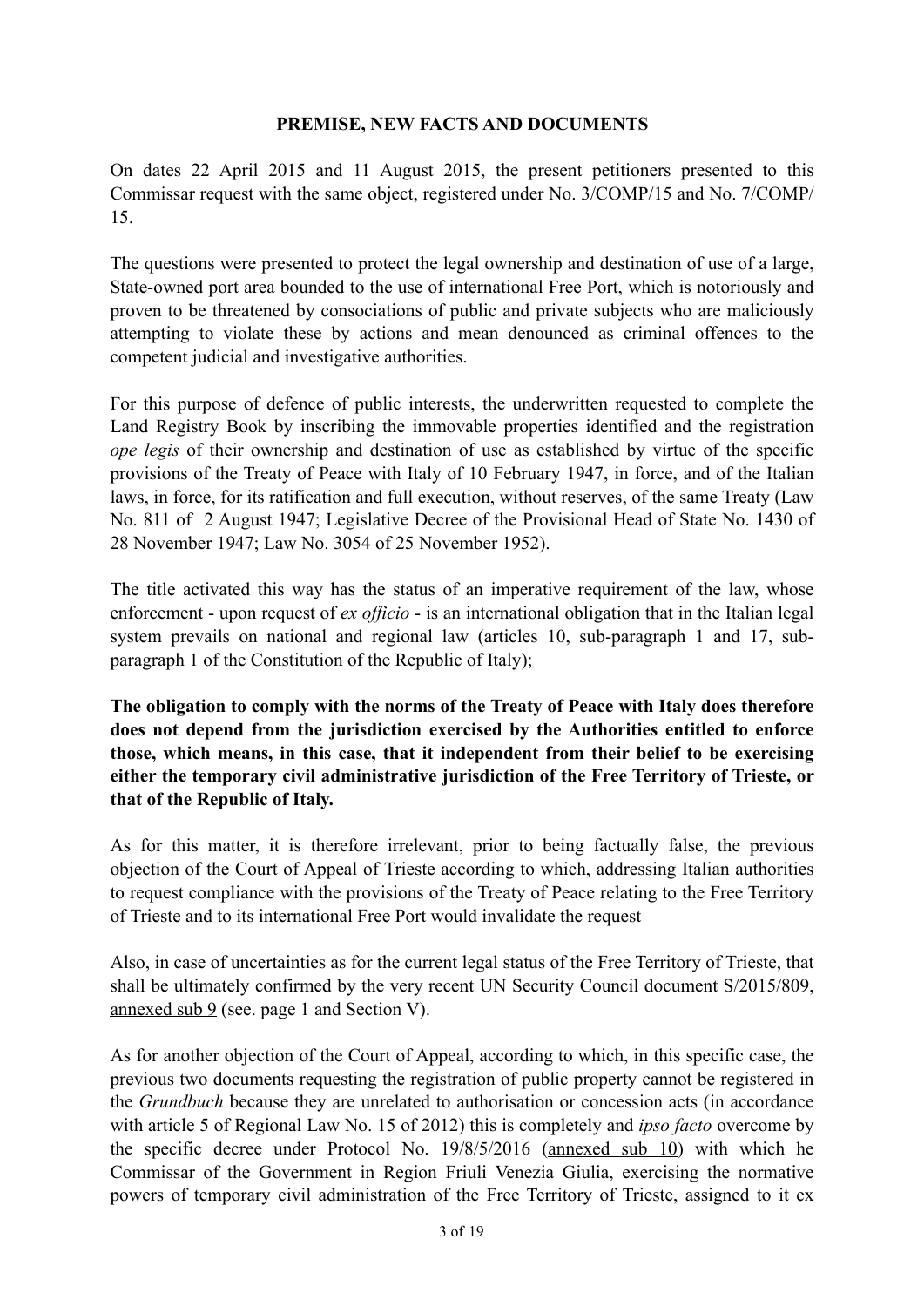### **PREMISE, NEW FACTS AND DOCUMENTS**

On dates 22 April 2015 and 11 August 2015, the present petitioners presented to this Commissar request with the same object, registered under No. 3/COMP/15 and No. 7/COMP/ 15.

The questions were presented to protect the legal ownership and destination of use of a large, State-owned port area bounded to the use of international Free Port, which is notoriously and proven to be threatened by consociations of public and private subjects who are maliciously attempting to violate these by actions and mean denounced as criminal offences to the competent judicial and investigative authorities.

For this purpose of defence of public interests, the underwritten requested to complete the Land Registry Book by inscribing the immovable properties identified and the registration *ope legis* of their ownership and destination of use as established by virtue of the specific provisions of the Treaty of Peace with Italy of 10 February 1947, in force, and of the Italian laws, in force, for its ratification and full execution, without reserves, of the same Treaty (Law No. 811 of 2 August 1947; Legislative Decree of the Provisional Head of State No. 1430 of 28 November 1947; Law No. 3054 of 25 November 1952).

The title activated this way has the status of an imperative requirement of the law, whose enforcement - upon request of *ex officio* - is an international obligation that in the Italian legal system prevails on national and regional law (articles 10, sub-paragraph 1 and 17, subparagraph 1 of the Constitution of the Republic of Italy);

**The obligation to comply with the norms of the Treaty of Peace with Italy does therefore does not depend from the jurisdiction exercised by the Authorities entitled to enforce those, which means, in this case, that it independent from their belief to be exercising either the temporary civil administrative jurisdiction of the Free Territory of Trieste, or that of the Republic of Italy.** 

As for this matter, it is therefore irrelevant, prior to being factually false, the previous objection of the Court of Appeal of Trieste according to which, addressing Italian authorities to request compliance with the provisions of the Treaty of Peace relating to the Free Territory of Trieste and to its international Free Port would invalidate the request

Also, in case of uncertainties as for the current legal status of the Free Territory of Trieste, that shall be ultimately confirmed by the very recent UN Security Council document S/2015/809, annexed sub 9 (see. page 1 and Section V).

As for another objection of the Court of Appeal, according to which, in this specific case, the previous two documents requesting the registration of public property cannot be registered in the *Grundbuch* because they are unrelated to authorisation or concession acts (in accordance with article 5 of Regional Law No. 15 of 2012) this is completely and *ipso facto* overcome by the specific decree under Protocol No. 19/8/5/2016 (annexed sub 10) with which he Commissar of the Government in Region Friuli Venezia Giulia, exercising the normative powers of temporary civil administration of the Free Territory of Trieste, assigned to it ex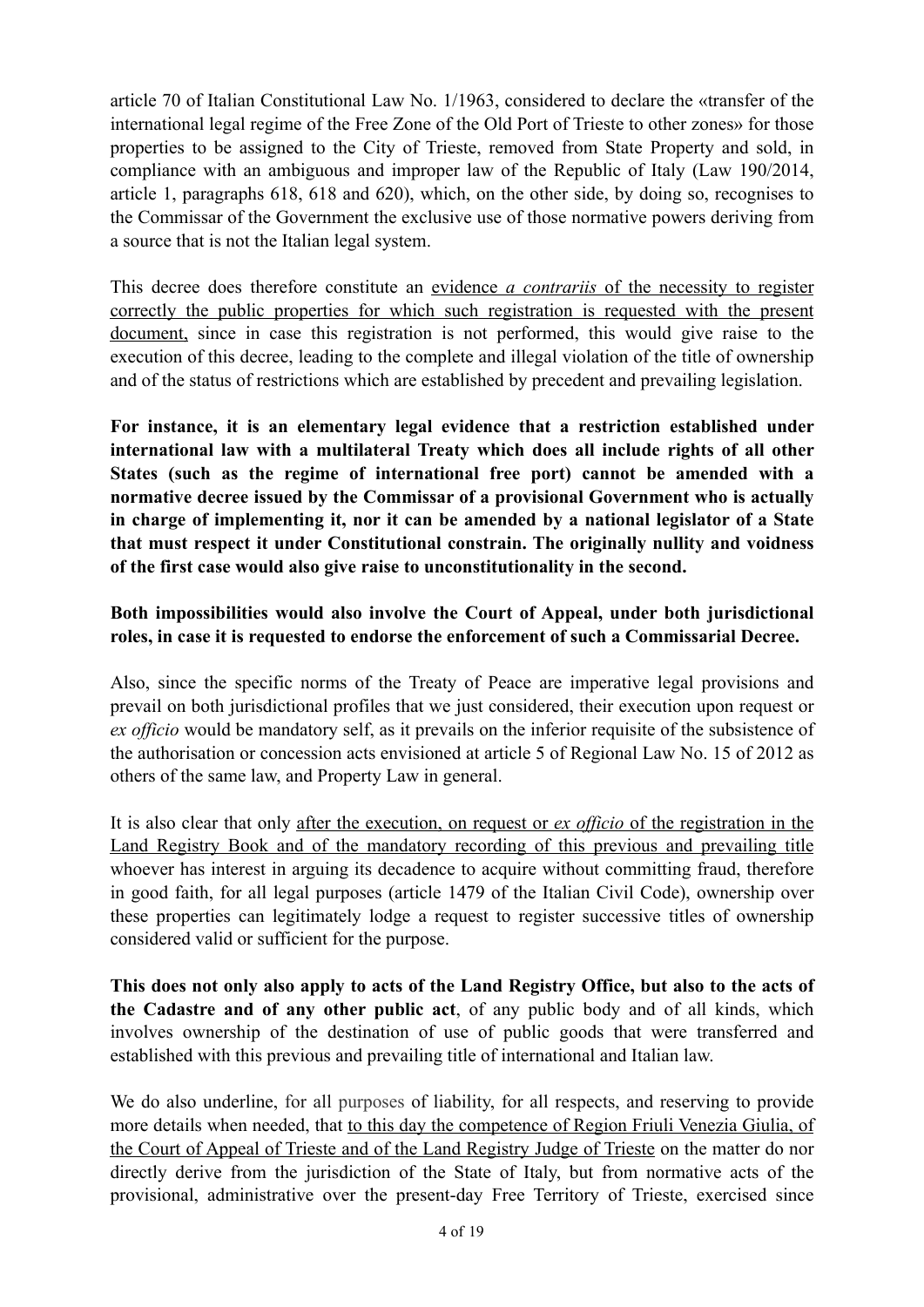article 70 of Italian Constitutional Law No. 1/1963, considered to declare the «transfer of the international legal regime of the Free Zone of the Old Port of Trieste to other zones» for those properties to be assigned to the City of Trieste, removed from State Property and sold, in compliance with an ambiguous and improper law of the Republic of Italy (Law 190/2014, article 1, paragraphs 618, 618 and 620), which, on the other side, by doing so, recognises to the Commissar of the Government the exclusive use of those normative powers deriving from a source that is not the Italian legal system.

This decree does therefore constitute an evidence *a contrariis* of the necessity to register correctly the public properties for which such registration is requested with the present document, since in case this registration is not performed, this would give raise to the execution of this decree, leading to the complete and illegal violation of the title of ownership and of the status of restrictions which are established by precedent and prevailing legislation.

**For instance, it is an elementary legal evidence that a restriction established under international law with a multilateral Treaty which does all include rights of all other States (such as the regime of international free port) cannot be amended with a normative decree issued by the Commissar of a provisional Government who is actually in charge of implementing it, nor it can be amended by a national legislator of a State that must respect it under Constitutional constrain. The originally nullity and voidness of the first case would also give raise to unconstitutionality in the second.** 

# **Both impossibilities would also involve the Court of Appeal, under both jurisdictional roles, in case it is requested to endorse the enforcement of such a Commissarial Decree.**

Also, since the specific norms of the Treaty of Peace are imperative legal provisions and prevail on both jurisdictional profiles that we just considered, their execution upon request or *ex officio* would be mandatory self, as it prevails on the inferior requisite of the subsistence of the authorisation or concession acts envisioned at article 5 of Regional Law No. 15 of 2012 as others of the same law, and Property Law in general.

It is also clear that only after the execution, on request or *ex officio* of the registration in the Land Registry Book and of the mandatory recording of this previous and prevailing title whoever has interest in arguing its decadence to acquire without committing fraud, therefore in good faith, for all legal purposes (article 1479 of the Italian Civil Code), ownership over these properties can legitimately lodge a request to register successive titles of ownership considered valid or sufficient for the purpose.

**This does not only also apply to acts of the Land Registry Office, but also to the acts of the Cadastre and of any other public act**, of any public body and of all kinds, which involves ownership of the destination of use of public goods that were transferred and established with this previous and prevailing title of international and Italian law.

We do also underline, for all purposes of liability, for all respects, and reserving to provide more details when needed, that to this day the competence of Region Friuli Venezia Giulia, of the Court of Appeal of Trieste and of the Land Registry Judge of Trieste on the matter do nor directly derive from the jurisdiction of the State of Italy, but from normative acts of the provisional, administrative over the present-day Free Territory of Trieste, exercised since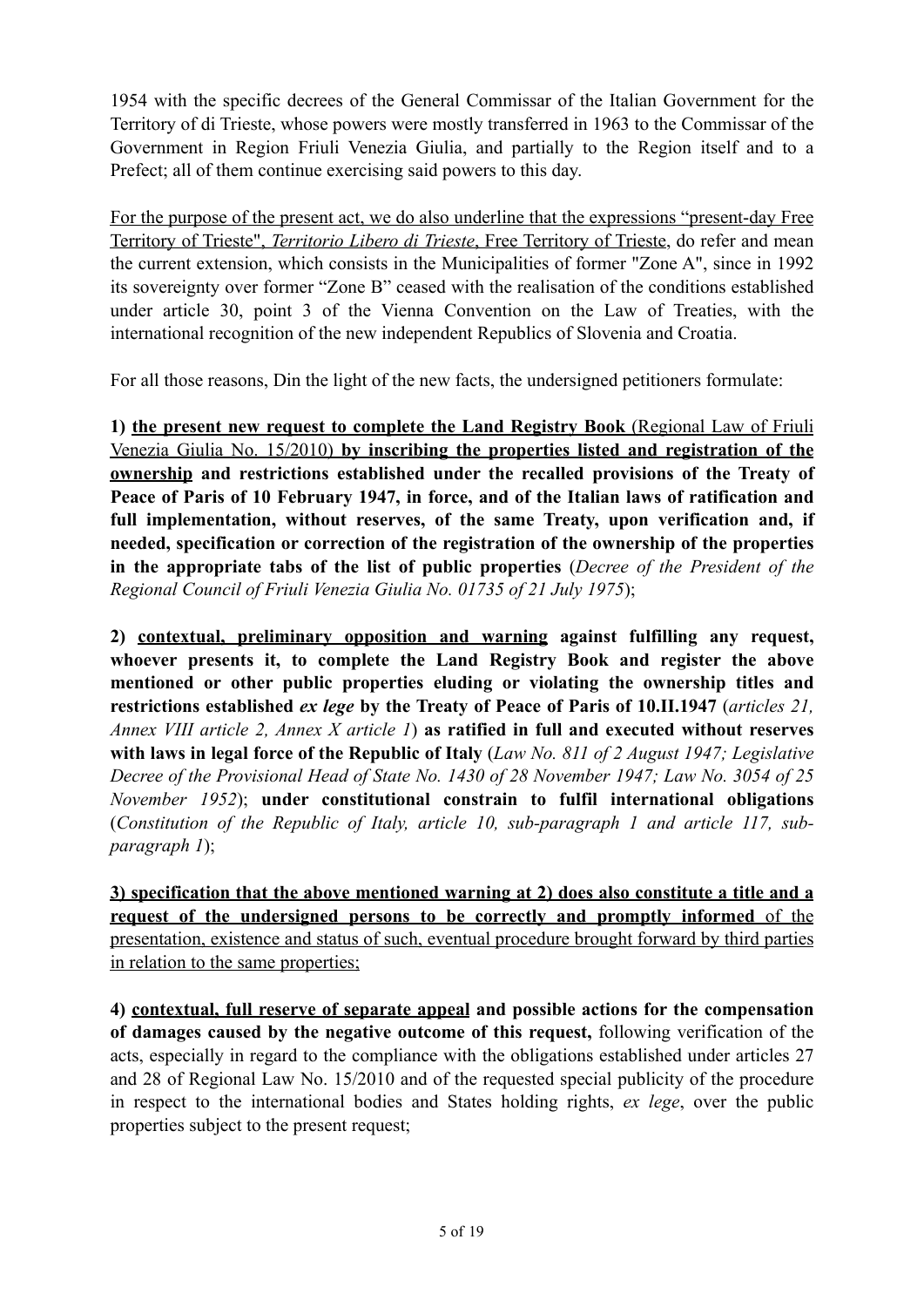1954 with the specific decrees of the General Commissar of the Italian Government for the Territory of di Trieste, whose powers were mostly transferred in 1963 to the Commissar of the Government in Region Friuli Venezia Giulia, and partially to the Region itself and to a Prefect; all of them continue exercising said powers to this day.

For the purpose of the present act, we do also underline that the expressions "present-day Free Territory of Trieste", *Territorio Libero di Trieste*, Free Territory of Trieste, do refer and mean the current extension, which consists in the Municipalities of former "Zone A", since in 1992 its sovereignty over former "Zone B" ceased with the realisation of the conditions established under article 30, point 3 of the Vienna Convention on the Law of Treaties, with the international recognition of the new independent Republics of Slovenia and Croatia.

For all those reasons, Din the light of the new facts, the undersigned petitioners formulate:

**1) the present new request to complete the Land Registry Book** (Regional Law of Friuli Venezia Giulia No. 15/2010) **by inscribing the properties listed and registration of the ownership and restrictions established under the recalled provisions of the Treaty of Peace of Paris of 10 February 1947, in force, and of the Italian laws of ratification and full implementation, without reserves, of the same Treaty, upon verification and, if needed, specification or correction of the registration of the ownership of the properties in the appropriate tabs of the list of public properties** (*Decree of the President of the Regional Council of Friuli Venezia Giulia No. 01735 of 21 July 1975*);

**2) contextual, preliminary opposition and warning against fulfilling any request, whoever presents it, to complete the Land Registry Book and register the above mentioned or other public properties eluding or violating the ownership titles and restrictions established** *ex lege* **by the Treaty of Peace of Paris of 10.II.1947** (*articles 21, Annex VIII article 2, Annex X article 1*) **as ratified in full and executed without reserves with laws in legal force of the Republic of Italy** (*Law No. 811 of 2 August 1947; Legislative Decree of the Provisional Head of State No. 1430 of 28 November 1947; Law No. 3054 of 25 November 1952*); **under constitutional constrain to fulfil international obligations**  (*Constitution of the Republic of Italy, article 10, sub-paragraph 1 and article 117, subparagraph 1*);

**3) specification that the above mentioned warning at 2) does also constitute a title and a request of the undersigned persons to be correctly and promptly informed** of the presentation, existence and status of such, eventual procedure brought forward by third parties in relation to the same properties;

**4) contextual, full reserve of separate appeal and possible actions for the compensation of damages caused by the negative outcome of this request,** following verification of the acts, especially in regard to the compliance with the obligations established under articles 27 and 28 of Regional Law No. 15/2010 and of the requested special publicity of the procedure in respect to the international bodies and States holding rights, *ex lege*, over the public properties subject to the present request;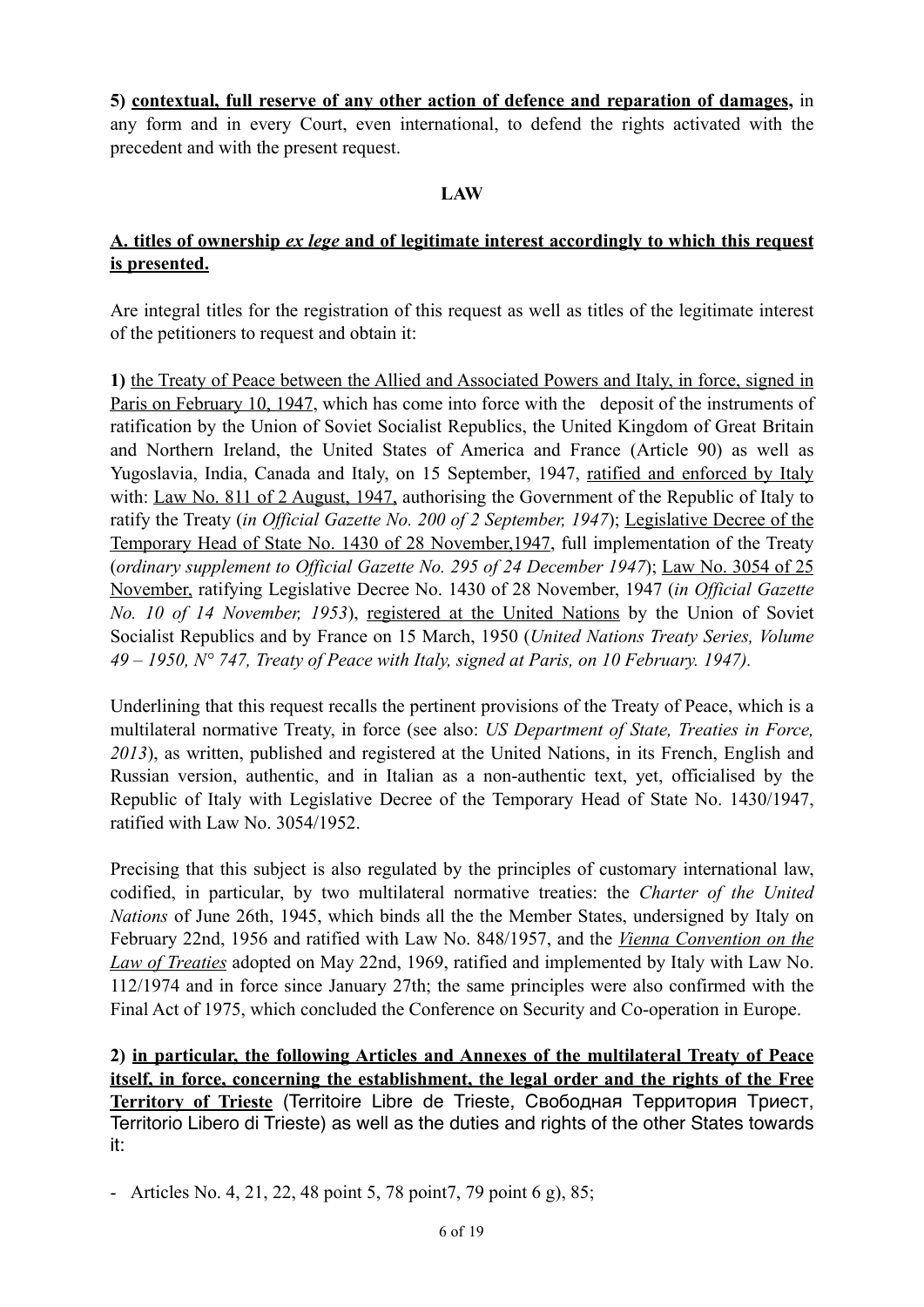**5) contextual, full reserve of any other action of defence and reparation of damages,** in any form and in every Court, even international, to defend the rights activated with the precedent and with the present request.

### **LAW**

## **A. titles of ownership** *ex lege* **and of legitimate interest accordingly to which this request is presented.**

Are integral titles for the registration of this request as well as titles of the legitimate interest of the petitioners to request and obtain it:

**1)** the Treaty of Peace between the Allied and Associated Powers and Italy, in force, signed in Paris on February 10, 1947, which has come into force with the deposit of the instruments of ratification by the Union of Soviet Socialist Republics, the United Kingdom of Great Britain and Northern Ireland, the United States of America and France (Article 90) as well as Yugoslavia, India, Canada and Italy, on 15 September, 1947, ratified and enforced by Italy with: Law No. 811 of 2 August, 1947, authorising the Government of the Republic of Italy to ratify the Treaty (*in Official Gazette No. 200 of 2 September, 1947*); Legislative Decree of the Temporary Head of State No. 1430 of 28 November,1947, full implementation of the Treaty (*ordinary supplement to Official Gazette No. 295 of 24 December 1947*); Law No. 3054 of 25 November, ratifying Legislative Decree No. 1430 of 28 November, 1947 (*in Official Gazette No. 10 of 14 November, 1953*), registered at the United Nations by the Union of Soviet Socialist Republics and by France on 15 March, 1950 (*United Nations Treaty Series, Volume 49 – 1950, N° 747, Treaty of Peace with Italy, signed at Paris, on 10 February. 1947).*

Underlining that this request recalls the pertinent provisions of the Treaty of Peace, which is a multilateral normative Treaty, in force (see also: *US Department of State, Treaties in Force, 2013*), as written, published and registered at the United Nations, in its French, English and Russian version, authentic, and in Italian as a non-authentic text, yet, officialised by the Republic of Italy with Legislative Decree of the Temporary Head of State No. 1430/1947, ratified with Law No. 3054/1952.

Precising that this subject is also regulated by the principles of customary international law, codified, in particular, by two multilateral normative treaties: the *Charter of the United Nations* of June 26th, 1945, which binds all the the Member States, undersigned by Italy on February 22nd, 1956 and ratified with Law No. 848/1957, and the *Vienna Convention on the Law of Treaties* adopted on May 22nd, 1969, ratified and implemented by Italy with Law No. 112/1974 and in force since January 27th; the same principles were also confirmed with the Final Act of 1975, which concluded the Conference on Security and Co-operation in Europe.

**2) in particular, the following Articles and Annexes of the multilateral Treaty of Peace itself, in force, concerning the establishment, the legal order and the rights of the Free Territory of Trieste** (Territoire Libre de Trieste, Свободная Территория Триест, Territorio Libero di Trieste) as well as the duties and rights of the other States towards it:

- Articles No. 4, 21, 22, 48 point 5, 78 point7, 79 point 6 g), 85;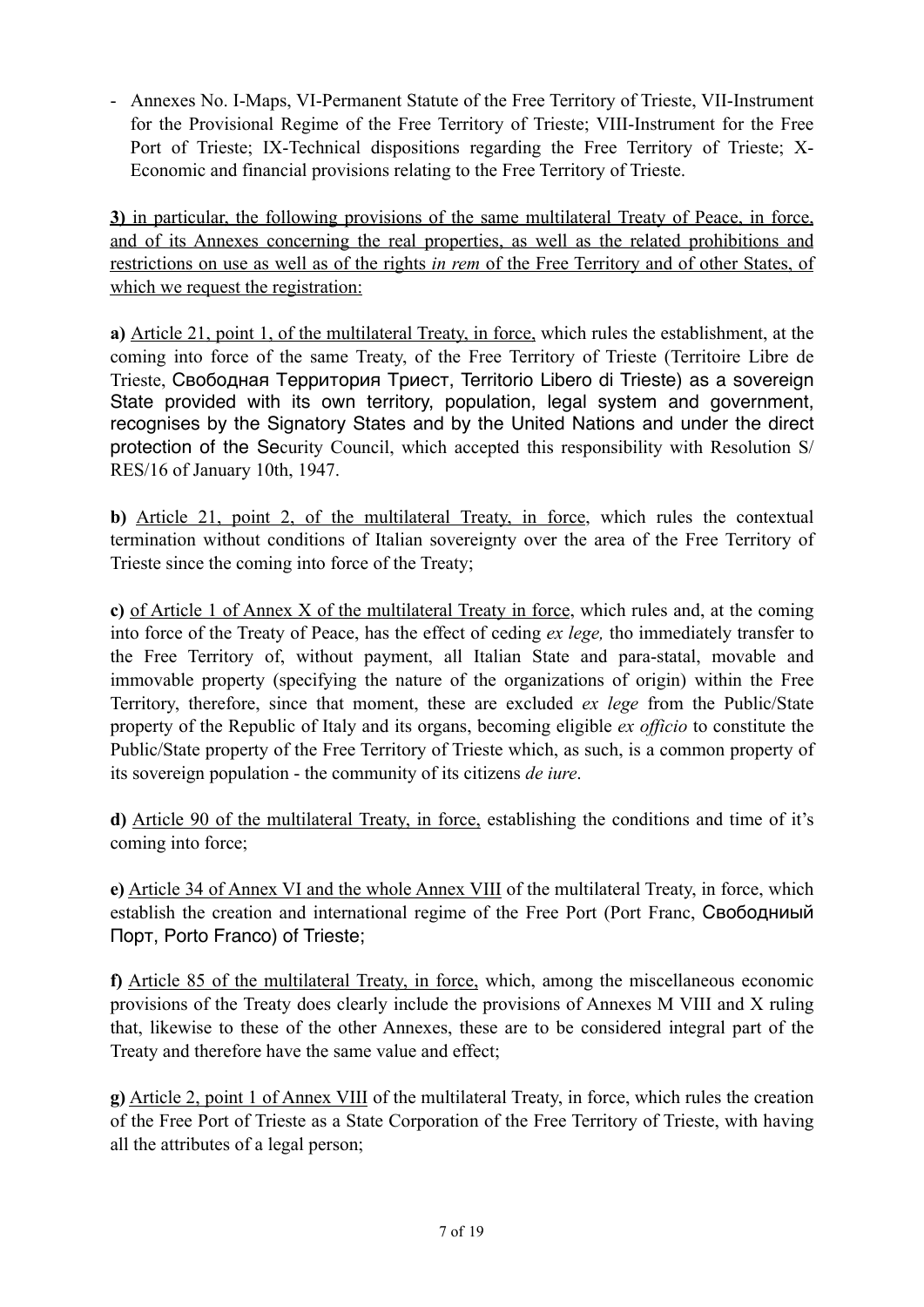- Annexes No. I-Maps, VI-Permanent Statute of the Free Territory of Trieste, VII-Instrument for the Provisional Regime of the Free Territory of Trieste; VIII-Instrument for the Free Port of Trieste; IX-Technical dispositions regarding the Free Territory of Trieste; X-Economic and financial provisions relating to the Free Territory of Trieste.

**3)** in particular, the following provisions of the same multilateral Treaty of Peace, in force, and of its Annexes concerning the real properties, as well as the related prohibitions and restrictions on use as well as of the rights *in rem* of the Free Territory and of other States, of which we request the registration:

**a)** Article 21, point 1, of the multilateral Treaty, in force, which rules the establishment, at the coming into force of the same Treaty, of the Free Territory of Trieste (Territoire Libre de Trieste, Свободная Территория Триест, Territorio Libero di Trieste) as a sovereign State provided with its own territory, population, legal system and government, recognises by the Signatory States and by the United Nations and under the direct protection of the Security Council, which accepted this responsibility with Resolution S/ RES/16 of January 10th, 1947.

**b)** Article 21, point 2, of the multilateral Treaty, in force, which rules the contextual termination without conditions of Italian sovereignty over the area of the Free Territory of Trieste since the coming into force of the Treaty;

**c)** of Article 1 of Annex X of the multilateral Treaty in force, which rules and, at the coming into force of the Treaty of Peace, has the effect of ceding *ex lege,* tho immediately transfer to the Free Territory of, without payment, all Italian State and para-statal, movable and immovable property (specifying the nature of the organizations of origin) within the Free Territory, therefore, since that moment, these are excluded *ex lege* from the Public/State property of the Republic of Italy and its organs, becoming eligible *ex officio* to constitute the Public/State property of the Free Territory of Trieste which, as such, is a common property of its sovereign population - the community of its citizens *de iure*.

**d)** Article 90 of the multilateral Treaty, in force, establishing the conditions and time of it's coming into force;

**e)** Article 34 of Annex VI and the whole Annex VIII of the multilateral Treaty, in force, which establish the creation and international regime of the Free Port (Port Franc, Свободниый Порт, Porto Franco) of Trieste;

**f)** Article 85 of the multilateral Treaty, in force, which, among the miscellaneous economic provisions of the Treaty does clearly include the provisions of Annexes M VIII and X ruling that, likewise to these of the other Annexes, these are to be considered integral part of the Treaty and therefore have the same value and effect;

**g)** Article 2, point 1 of Annex VIII of the multilateral Treaty, in force, which rules the creation of the Free Port of Trieste as a State Corporation of the Free Territory of Trieste, with having all the attributes of a legal person;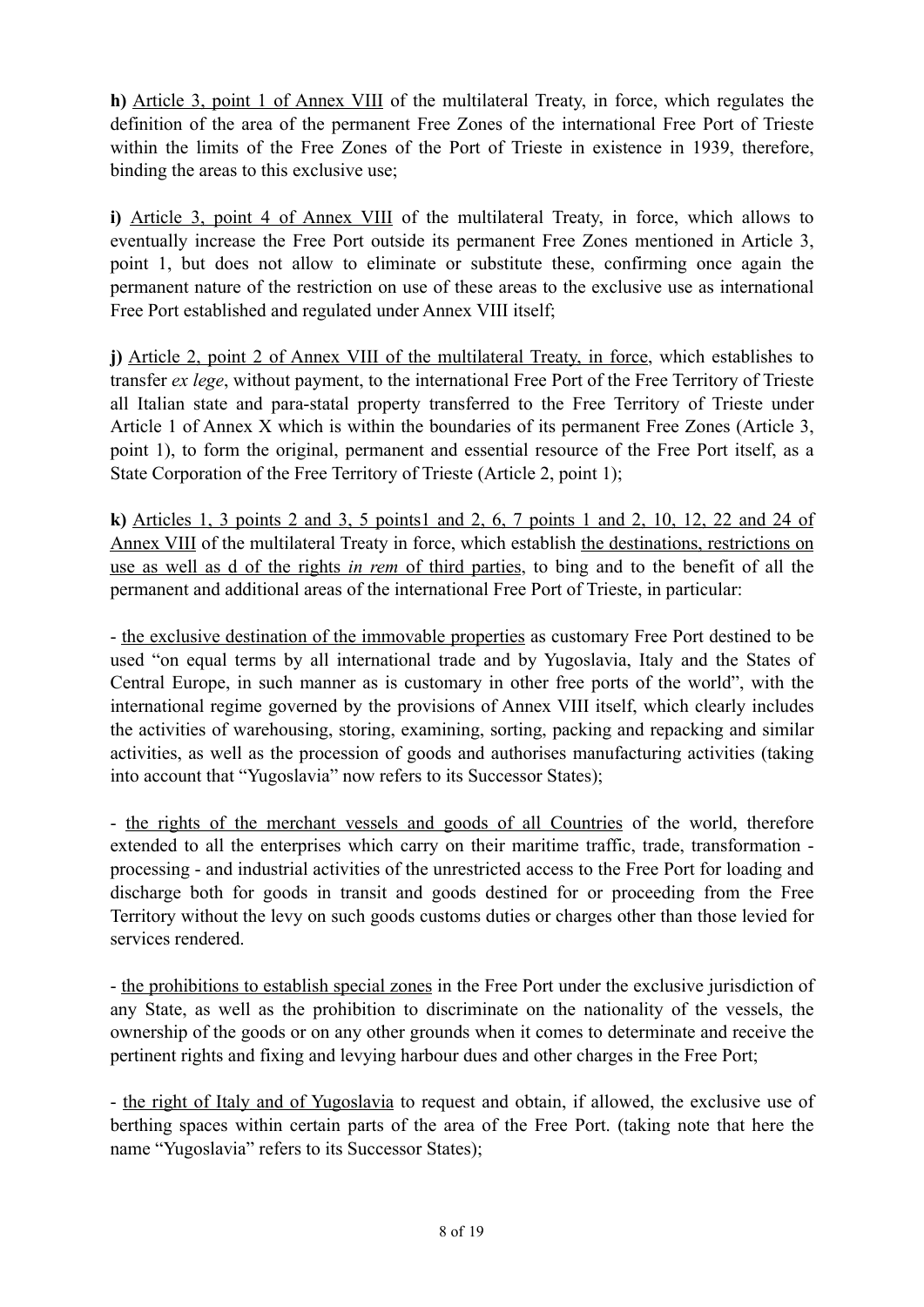**h)** Article 3, point 1 of Annex VIII of the multilateral Treaty, in force, which regulates the definition of the area of the permanent Free Zones of the international Free Port of Trieste within the limits of the Free Zones of the Port of Trieste in existence in 1939, therefore, binding the areas to this exclusive use;

**i)** Article 3, point 4 of Annex VIII of the multilateral Treaty, in force, which allows to eventually increase the Free Port outside its permanent Free Zones mentioned in Article 3, point 1, but does not allow to eliminate or substitute these, confirming once again the permanent nature of the restriction on use of these areas to the exclusive use as international Free Port established and regulated under Annex VIII itself;

**j)** Article 2, point 2 of Annex VIII of the multilateral Treaty, in force, which establishes to transfer *ex lege*, without payment, to the international Free Port of the Free Territory of Trieste all Italian state and para-statal property transferred to the Free Territory of Trieste under Article 1 of Annex X which is within the boundaries of its permanent Free Zones (Article 3, point 1), to form the original, permanent and essential resource of the Free Port itself, as a State Corporation of the Free Territory of Trieste (Article 2, point 1);

**k)** Articles 1, 3 points 2 and 3, 5 points1 and 2, 6, 7 points 1 and 2, 10, 12, 22 and 24 of Annex VIII of the multilateral Treaty in force, which establish the destinations, restrictions on use as well as d of the rights *in rem* of third parties, to bing and to the benefit of all the permanent and additional areas of the international Free Port of Trieste, in particular:

- the exclusive destination of the immovable properties as customary Free Port destined to be used "on equal terms by all international trade and by Yugoslavia, Italy and the States of Central Europe, in such manner as is customary in other free ports of the world", with the international regime governed by the provisions of Annex VIII itself, which clearly includes the activities of warehousing, storing, examining, sorting, packing and repacking and similar activities, as well as the procession of goods and authorises manufacturing activities (taking into account that "Yugoslavia" now refers to its Successor States);

- the rights of the merchant vessels and goods of all Countries of the world, therefore extended to all the enterprises which carry on their maritime traffic, trade, transformation processing - and industrial activities of the unrestricted access to the Free Port for loading and discharge both for goods in transit and goods destined for or proceeding from the Free Territory without the levy on such goods customs duties or charges other than those levied for services rendered.

- the prohibitions to establish special zones in the Free Port under the exclusive jurisdiction of any State, as well as the prohibition to discriminate on the nationality of the vessels, the ownership of the goods or on any other grounds when it comes to determinate and receive the pertinent rights and fixing and levying harbour dues and other charges in the Free Port;

- the right of Italy and of Yugoslavia to request and obtain, if allowed, the exclusive use of berthing spaces within certain parts of the area of the Free Port. (taking note that here the name "Yugoslavia" refers to its Successor States);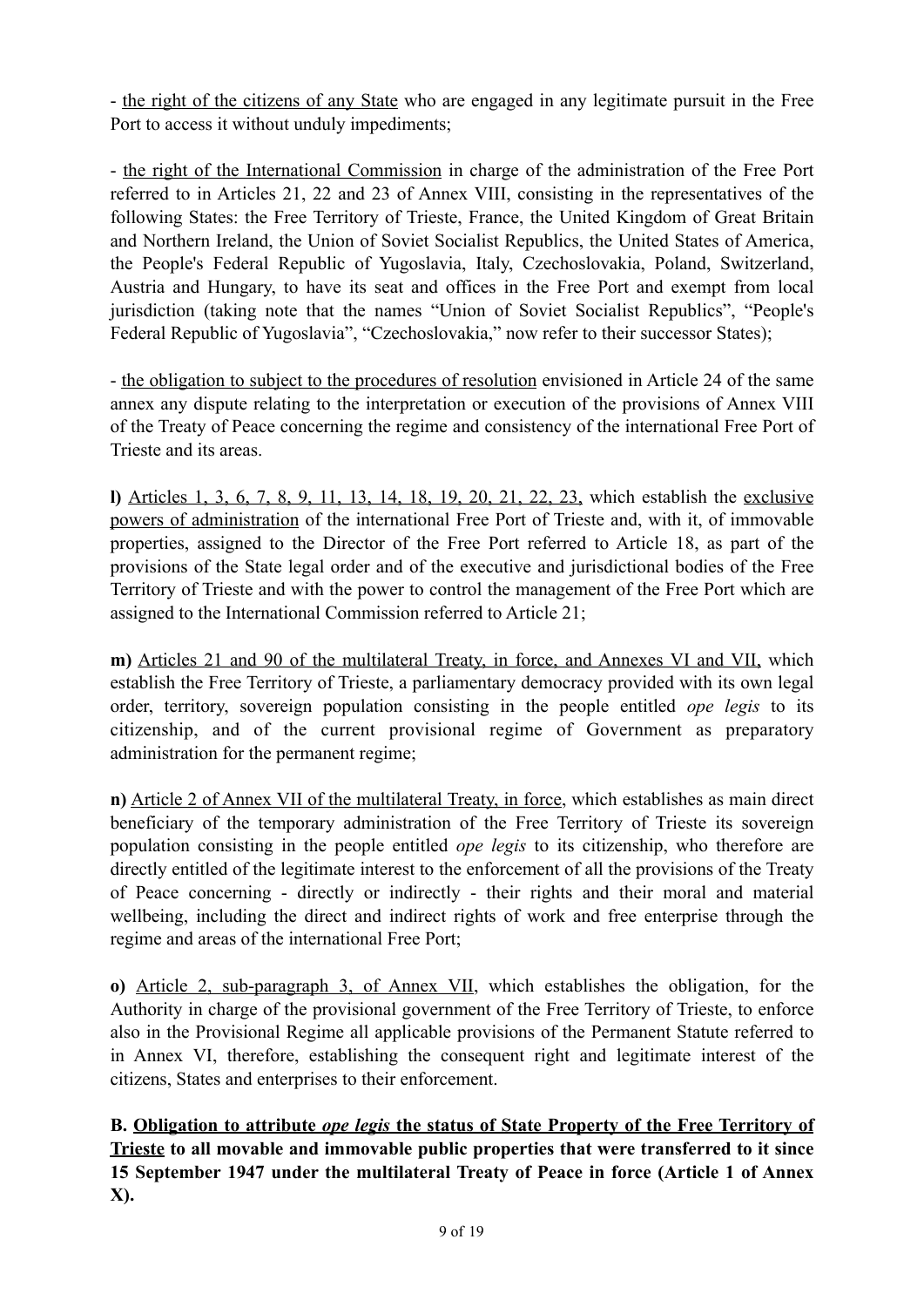- the right of the citizens of any State who are engaged in any legitimate pursuit in the Free Port to access it without unduly impediments;

- the right of the International Commission in charge of the administration of the Free Port referred to in Articles 21, 22 and 23 of Annex VIII, consisting in the representatives of the following States: the Free Territory of Trieste, France, the United Kingdom of Great Britain and Northern Ireland, the Union of Soviet Socialist Republics, the United States of America, the People's Federal Republic of Yugoslavia, Italy, Czechoslovakia, Poland, Switzerland, Austria and Hungary, to have its seat and offices in the Free Port and exempt from local jurisdiction (taking note that the names "Union of Soviet Socialist Republics", "People's Federal Republic of Yugoslavia", "Czechoslovakia," now refer to their successor States);

- the obligation to subject to the procedures of resolution envisioned in Article 24 of the same annex any dispute relating to the interpretation or execution of the provisions of Annex VIII of the Treaty of Peace concerning the regime and consistency of the international Free Port of Trieste and its areas.

**l)** Articles 1, 3, 6, 7, 8, 9, 11, 13, 14, 18, 19, 20, 21, 22, 23, which establish the exclusive powers of administration of the international Free Port of Trieste and, with it, of immovable properties, assigned to the Director of the Free Port referred to Article 18, as part of the provisions of the State legal order and of the executive and jurisdictional bodies of the Free Territory of Trieste and with the power to control the management of the Free Port which are assigned to the International Commission referred to Article 21;

**m)** Articles 21 and 90 of the multilateral Treaty, in force, and Annexes VI and VII, which establish the Free Territory of Trieste, a parliamentary democracy provided with its own legal order, territory, sovereign population consisting in the people entitled *ope legis* to its citizenship, and of the current provisional regime of Government as preparatory administration for the permanent regime;

**n)** Article 2 of Annex VII of the multilateral Treaty, in force, which establishes as main direct beneficiary of the temporary administration of the Free Territory of Trieste its sovereign population consisting in the people entitled *ope legis* to its citizenship, who therefore are directly entitled of the legitimate interest to the enforcement of all the provisions of the Treaty of Peace concerning - directly or indirectly - their rights and their moral and material wellbeing, including the direct and indirect rights of work and free enterprise through the regime and areas of the international Free Port;

**o)** Article 2, sub-paragraph 3, of Annex VII, which establishes the obligation, for the Authority in charge of the provisional government of the Free Territory of Trieste, to enforce also in the Provisional Regime all applicable provisions of the Permanent Statute referred to in Annex VI, therefore, establishing the consequent right and legitimate interest of the citizens, States and enterprises to their enforcement.

**B. Obligation to attribute** *ope legis* **the status of State Property of the Free Territory of Trieste to all movable and immovable public properties that were transferred to it since 15 September 1947 under the multilateral Treaty of Peace in force (Article 1 of Annex X).**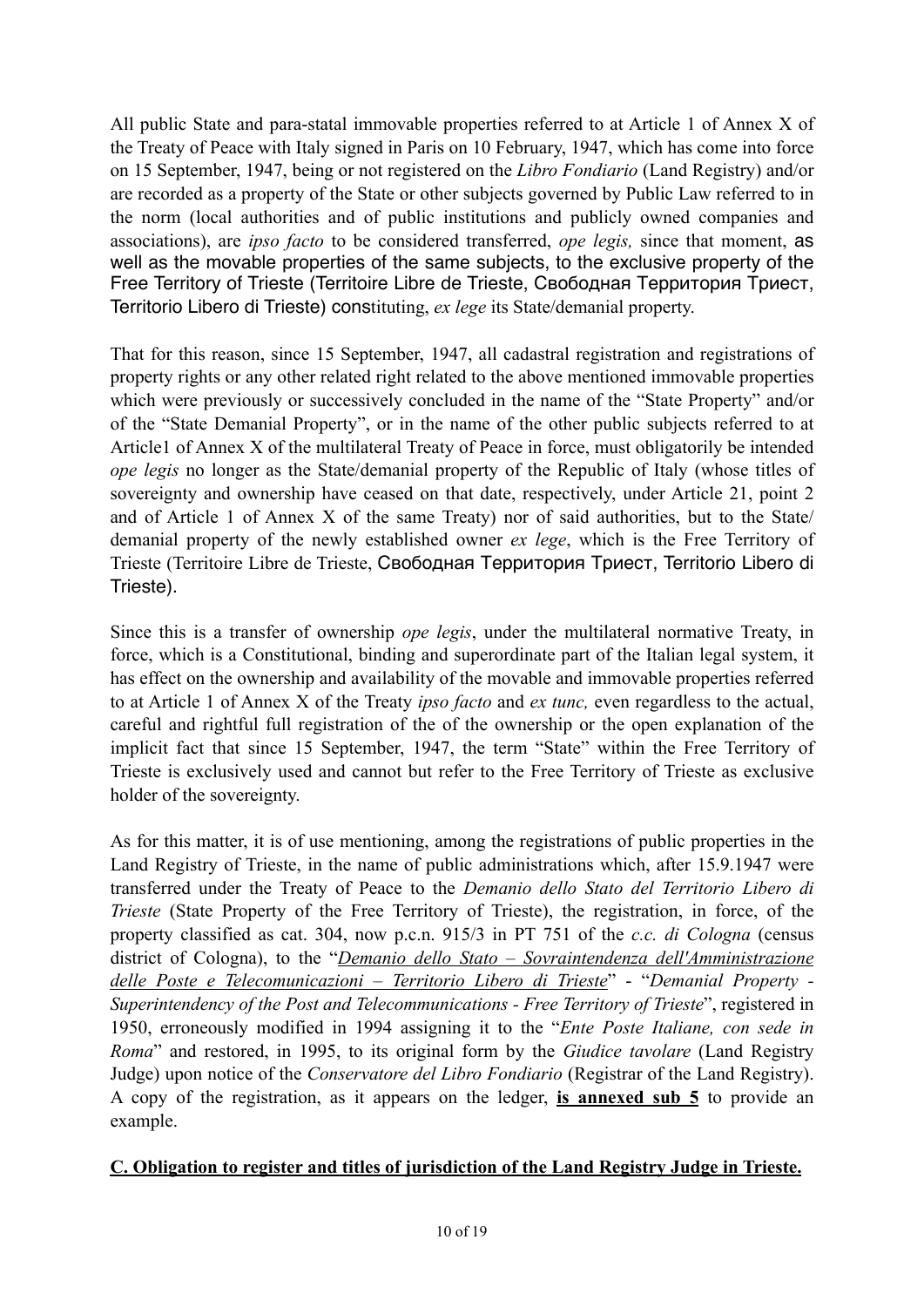All public State and para-statal immovable properties referred to at Article 1 of Annex X of the Treaty of Peace with Italy signed in Paris on 10 February, 1947, which has come into force on 15 September, 1947, being or not registered on the *Libro Fondiario* (Land Registry) and/or are recorded as a property of the State or other subjects governed by Public Law referred to in the norm (local authorities and of public institutions and publicly owned companies and associations), are *ipso facto* to be considered transferred, *ope legis,* since that moment, as well as the movable properties of the same subjects, to the exclusive property of the Free Territory of Trieste (Territoire Libre de Trieste, Свободная Территория Триест, Territorio Libero di Trieste) constituting, *ex lege* its State/demanial property.

That for this reason, since 15 September, 1947, all cadastral registration and registrations of property rights or any other related right related to the above mentioned immovable properties which were previously or successively concluded in the name of the "State Property" and/or of the "State Demanial Property", or in the name of the other public subjects referred to at Article1 of Annex X of the multilateral Treaty of Peace in force, must obligatorily be intended *ope legis* no longer as the State/demanial property of the Republic of Italy (whose titles of sovereignty and ownership have ceased on that date, respectively, under Article 21, point 2 and of Article 1 of Annex X of the same Treaty) nor of said authorities, but to the State/ demanial property of the newly established owner *ex lege*, which is the Free Territory of Trieste (Territoire Libre de Trieste, Свободная Территория Триест, Territorio Libero di Trieste).

Since this is a transfer of ownership *ope legis*, under the multilateral normative Treaty, in force, which is a Constitutional, binding and superordinate part of the Italian legal system, it has effect on the ownership and availability of the movable and immovable properties referred to at Article 1 of Annex X of the Treaty *ipso facto* and *ex tunc,* even regardless to the actual, careful and rightful full registration of the of the ownership or the open explanation of the implicit fact that since 15 September, 1947, the term "State" within the Free Territory of Trieste is exclusively used and cannot but refer to the Free Territory of Trieste as exclusive holder of the sovereignty.

As for this matter, it is of use mentioning, among the registrations of public properties in the Land Registry of Trieste, in the name of public administrations which, after 15.9.1947 were transferred under the Treaty of Peace to the *Demanio dello Stato del Territorio Libero di Trieste* (State Property of the Free Territory of Trieste), the registration, in force, of the property classified as cat. 304, now p.c.n. 915/3 in PT 751 of the *c.c. di Cologna* (census district of Cologna), to the "*Demanio dello Stato – Sovraintendenza dell'Amministrazione delle Poste e Telecomunicazioni – Territorio Libero di Trieste*" - "*Demanial Property - Superintendency of the Post and Telecommunications - Free Territory of Trieste*", registered in 1950, erroneously modified in 1994 assigning it to the "*Ente Poste Italiane, con sede in Roma*" and restored, in 1995, to its original form by the *Giudice tavolare* (Land Registry Judge) upon notice of the *Conservatore del Libro Fondiario* (Registrar of the Land Registry). A copy of the registration, as it appears on the ledger, **is annexed sub 5** to provide an example.

# **C. Obligation to register and titles of jurisdiction of the Land Registry Judge in Trieste.**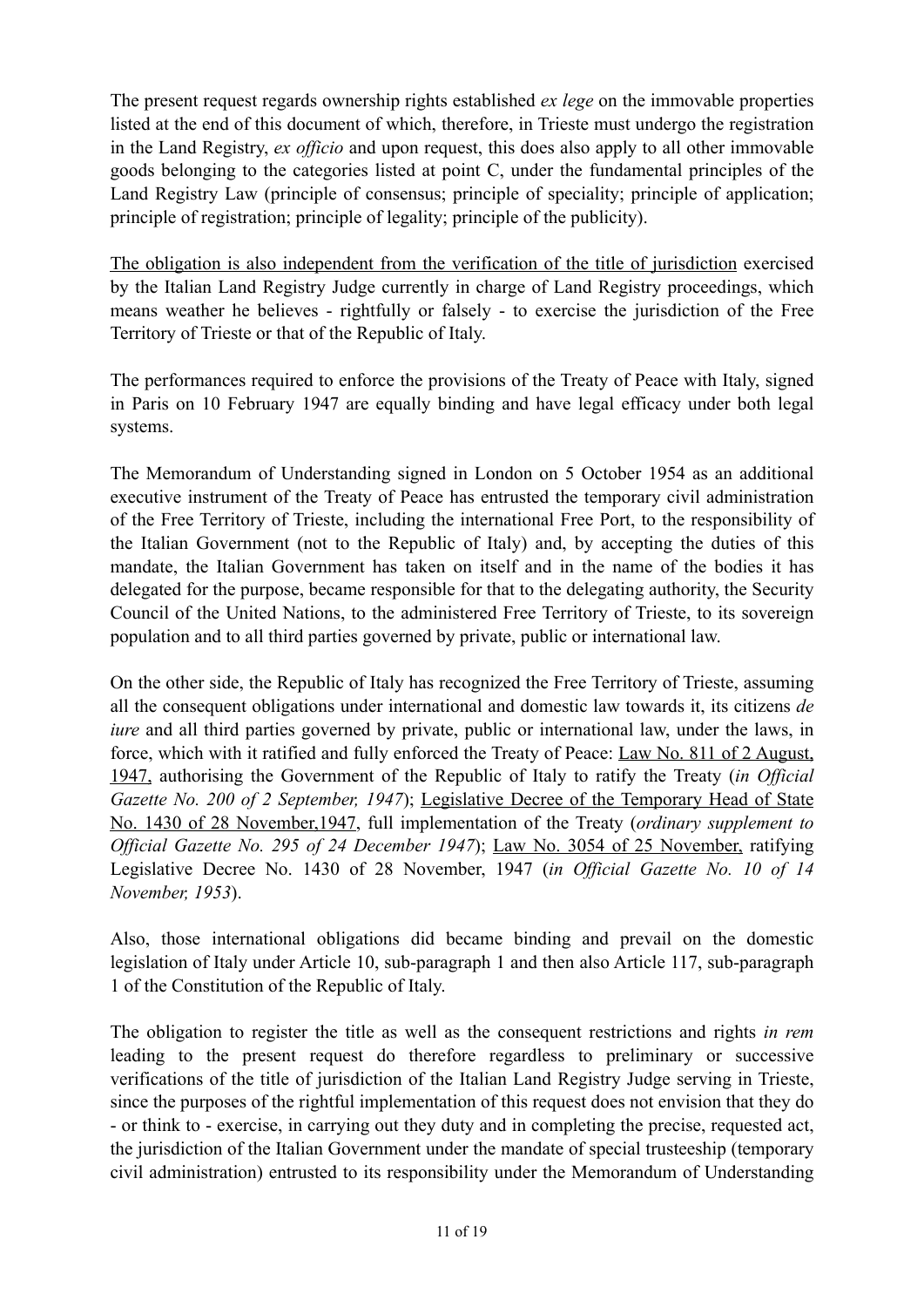The present request regards ownership rights established *ex lege* on the immovable properties listed at the end of this document of which, therefore, in Trieste must undergo the registration in the Land Registry, *ex officio* and upon request, this does also apply to all other immovable goods belonging to the categories listed at point C, under the fundamental principles of the Land Registry Law (principle of consensus; principle of speciality; principle of application; principle of registration; principle of legality; principle of the publicity).

The obligation is also independent from the verification of the title of jurisdiction exercised by the Italian Land Registry Judge currently in charge of Land Registry proceedings, which means weather he believes - rightfully or falsely - to exercise the jurisdiction of the Free Territory of Trieste or that of the Republic of Italy.

The performances required to enforce the provisions of the Treaty of Peace with Italy, signed in Paris on 10 February 1947 are equally binding and have legal efficacy under both legal systems.

The Memorandum of Understanding signed in London on 5 October 1954 as an additional executive instrument of the Treaty of Peace has entrusted the temporary civil administration of the Free Territory of Trieste, including the international Free Port, to the responsibility of the Italian Government (not to the Republic of Italy) and, by accepting the duties of this mandate, the Italian Government has taken on itself and in the name of the bodies it has delegated for the purpose, became responsible for that to the delegating authority, the Security Council of the United Nations, to the administered Free Territory of Trieste, to its sovereign population and to all third parties governed by private, public or international law.

On the other side, the Republic of Italy has recognized the Free Territory of Trieste, assuming all the consequent obligations under international and domestic law towards it, its citizens *de iure* and all third parties governed by private, public or international law, under the laws, in force, which with it ratified and fully enforced the Treaty of Peace: Law No. 811 of 2 August, 1947, authorising the Government of the Republic of Italy to ratify the Treaty (*in Official Gazette No. 200 of 2 September, 1947*); Legislative Decree of the Temporary Head of State No. 1430 of 28 November,1947, full implementation of the Treaty (*ordinary supplement to Official Gazette No. 295 of 24 December 1947*); Law No. 3054 of 25 November, ratifying Legislative Decree No. 1430 of 28 November, 1947 (*in Official Gazette No. 10 of 14 November, 1953*).

Also, those international obligations did became binding and prevail on the domestic legislation of Italy under Article 10, sub-paragraph 1 and then also Article 117, sub-paragraph 1 of the Constitution of the Republic of Italy.

The obligation to register the title as well as the consequent restrictions and rights *in rem* leading to the present request do therefore regardless to preliminary or successive verifications of the title of jurisdiction of the Italian Land Registry Judge serving in Trieste, since the purposes of the rightful implementation of this request does not envision that they do - or think to - exercise, in carrying out they duty and in completing the precise, requested act, the jurisdiction of the Italian Government under the mandate of special trusteeship (temporary civil administration) entrusted to its responsibility under the Memorandum of Understanding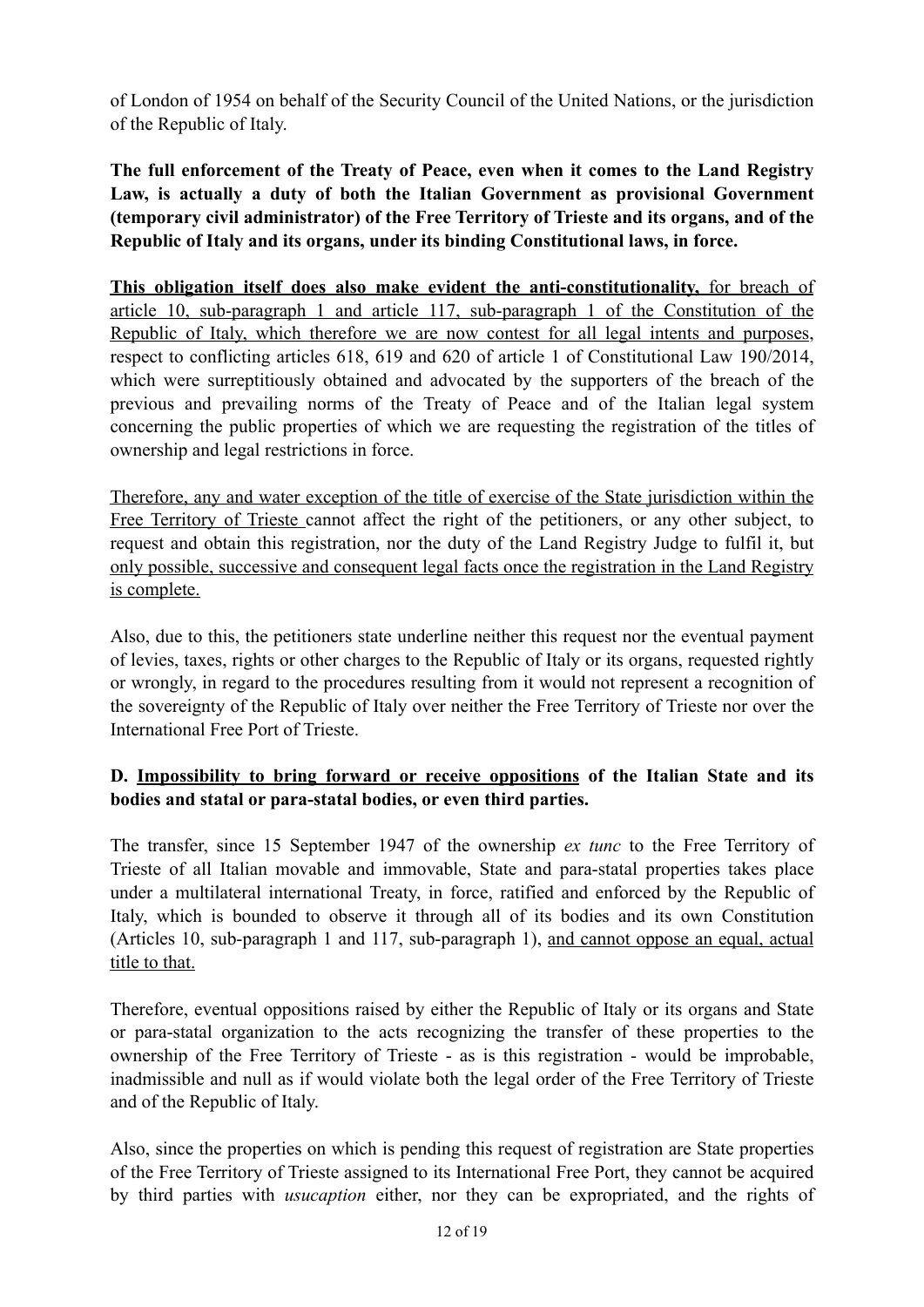of London of 1954 on behalf of the Security Council of the United Nations, or the jurisdiction of the Republic of Italy.

**The full enforcement of the Treaty of Peace, even when it comes to the Land Registry Law, is actually a duty of both the Italian Government as provisional Government (temporary civil administrator) of the Free Territory of Trieste and its organs, and of the Republic of Italy and its organs, under its binding Constitutional laws, in force.** 

**This obligation itself does also make evident the anti-constitutionality,** for breach of article 10, sub-paragraph 1 and article 117, sub-paragraph 1 of the Constitution of the Republic of Italy, which therefore we are now contest for all legal intents and purposes, respect to conflicting articles 618, 619 and 620 of article 1 of Constitutional Law 190/2014, which were surreptitiously obtained and advocated by the supporters of the breach of the previous and prevailing norms of the Treaty of Peace and of the Italian legal system concerning the public properties of which we are requesting the registration of the titles of ownership and legal restrictions in force.

Therefore, any and water exception of the title of exercise of the State jurisdiction within the Free Territory of Trieste cannot affect the right of the petitioners, or any other subject, to request and obtain this registration, nor the duty of the Land Registry Judge to fulfil it, but only possible, successive and consequent legal facts once the registration in the Land Registry is complete.

Also, due to this, the petitioners state underline neither this request nor the eventual payment of levies, taxes, rights or other charges to the Republic of Italy or its organs, requested rightly or wrongly, in regard to the procedures resulting from it would not represent a recognition of the sovereignty of the Republic of Italy over neither the Free Territory of Trieste nor over the International Free Port of Trieste.

# **D. Impossibility to bring forward or receive oppositions of the Italian State and its bodies and statal or para-statal bodies, or even third parties.**

The transfer, since 15 September 1947 of the ownership *ex tunc* to the Free Territory of Trieste of all Italian movable and immovable, State and para-statal properties takes place under a multilateral international Treaty, in force, ratified and enforced by the Republic of Italy, which is bounded to observe it through all of its bodies and its own Constitution (Articles 10, sub-paragraph 1 and 117, sub-paragraph 1), and cannot oppose an equal, actual title to that.

Therefore, eventual oppositions raised by either the Republic of Italy or its organs and State or para-statal organization to the acts recognizing the transfer of these properties to the ownership of the Free Territory of Trieste - as is this registration - would be improbable, inadmissible and null as if would violate both the legal order of the Free Territory of Trieste and of the Republic of Italy.

Also, since the properties on which is pending this request of registration are State properties of the Free Territory of Trieste assigned to its International Free Port, they cannot be acquired by third parties with *usucaption* either, nor they can be expropriated, and the rights of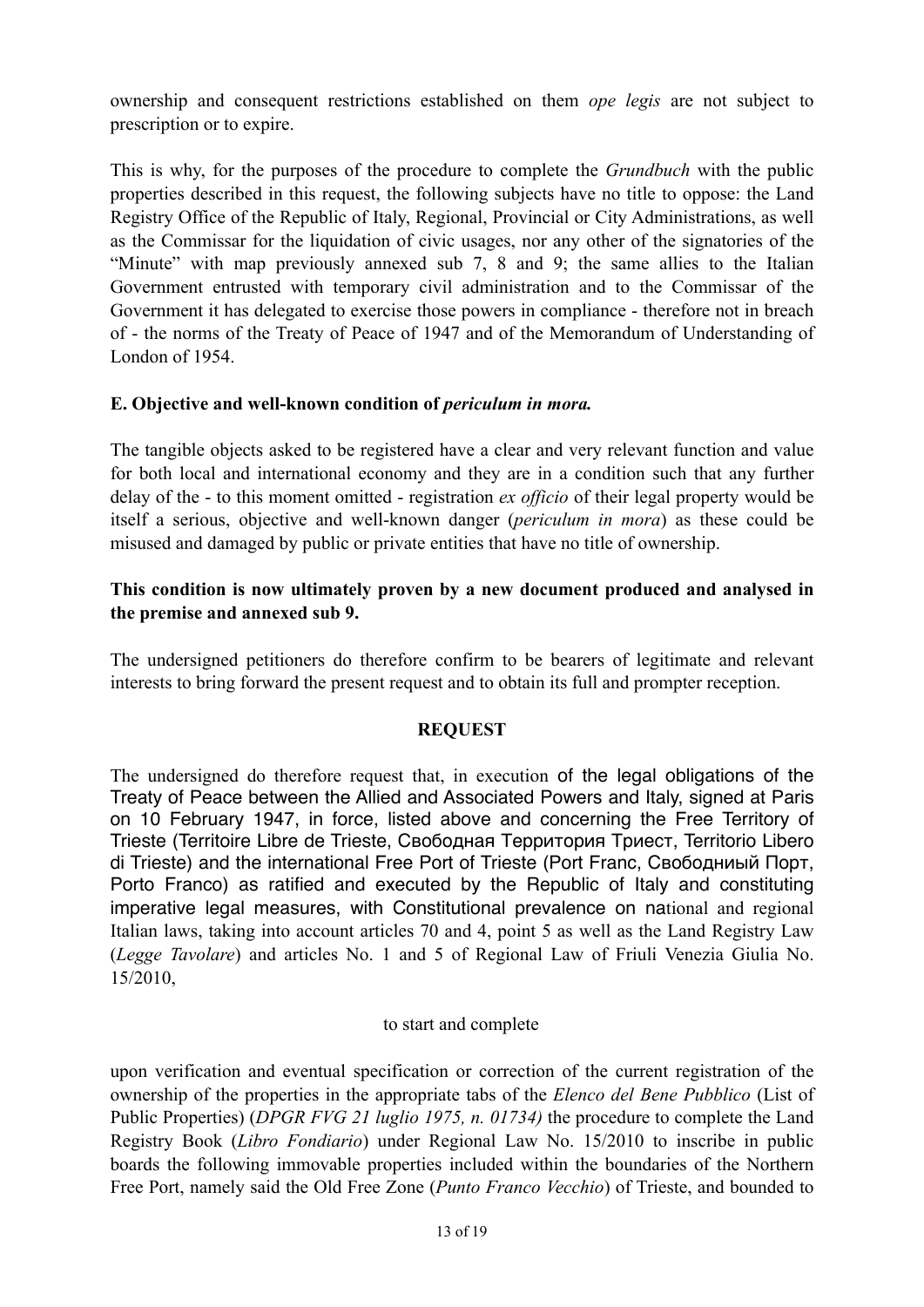ownership and consequent restrictions established on them *ope legis* are not subject to prescription or to expire.

This is why, for the purposes of the procedure to complete the *Grundbuch* with the public properties described in this request, the following subjects have no title to oppose: the Land Registry Office of the Republic of Italy, Regional, Provincial or City Administrations, as well as the Commissar for the liquidation of civic usages, nor any other of the signatories of the "Minute" with map previously annexed sub 7, 8 and 9; the same allies to the Italian Government entrusted with temporary civil administration and to the Commissar of the Government it has delegated to exercise those powers in compliance - therefore not in breach of - the norms of the Treaty of Peace of 1947 and of the Memorandum of Understanding of London of 1954.

### **E. Objective and well-known condition of** *periculum in mora.*

The tangible objects asked to be registered have a clear and very relevant function and value for both local and international economy and they are in a condition such that any further delay of the - to this moment omitted - registration *ex officio* of their legal property would be itself a serious, objective and well-known danger (*periculum in mora*) as these could be misused and damaged by public or private entities that have no title of ownership.

### **This condition is now ultimately proven by a new document produced and analysed in the premise and annexed sub 9.**

The undersigned petitioners do therefore confirm to be bearers of legitimate and relevant interests to bring forward the present request and to obtain its full and prompter reception.

### **REQUEST**

The undersigned do therefore request that, in execution of the legal obligations of the Treaty of Peace between the Allied and Associated Powers and Italy, signed at Paris on 10 February 1947, in force, listed above and concerning the Free Territory of Trieste (Territoire Libre de Trieste, Свободная Территория Триест, Territorio Libero di Trieste) and the international Free Port of Trieste (Port Franc, Свободниый Порт, Porto Franco) as ratified and executed by the Republic of Italy and constituting imperative legal measures, with Constitutional prevalence on national and regional Italian laws, taking into account articles 70 and 4, point 5 as well as the Land Registry Law (*Legge Tavolare*) and articles No. 1 and 5 of Regional Law of Friuli Venezia Giulia No. 15/2010,

### to start and complete

upon verification and eventual specification or correction of the current registration of the ownership of the properties in the appropriate tabs of the *Elenco del Bene Pubblico* (List of Public Properties) (*DPGR FVG 21 luglio 1975, n. 01734)* the procedure to complete the Land Registry Book (*Libro Fondiario*) under Regional Law No. 15/2010 to inscribe in public boards the following immovable properties included within the boundaries of the Northern Free Port, namely said the Old Free Zone (*Punto Franco Vecchio*) of Trieste, and bounded to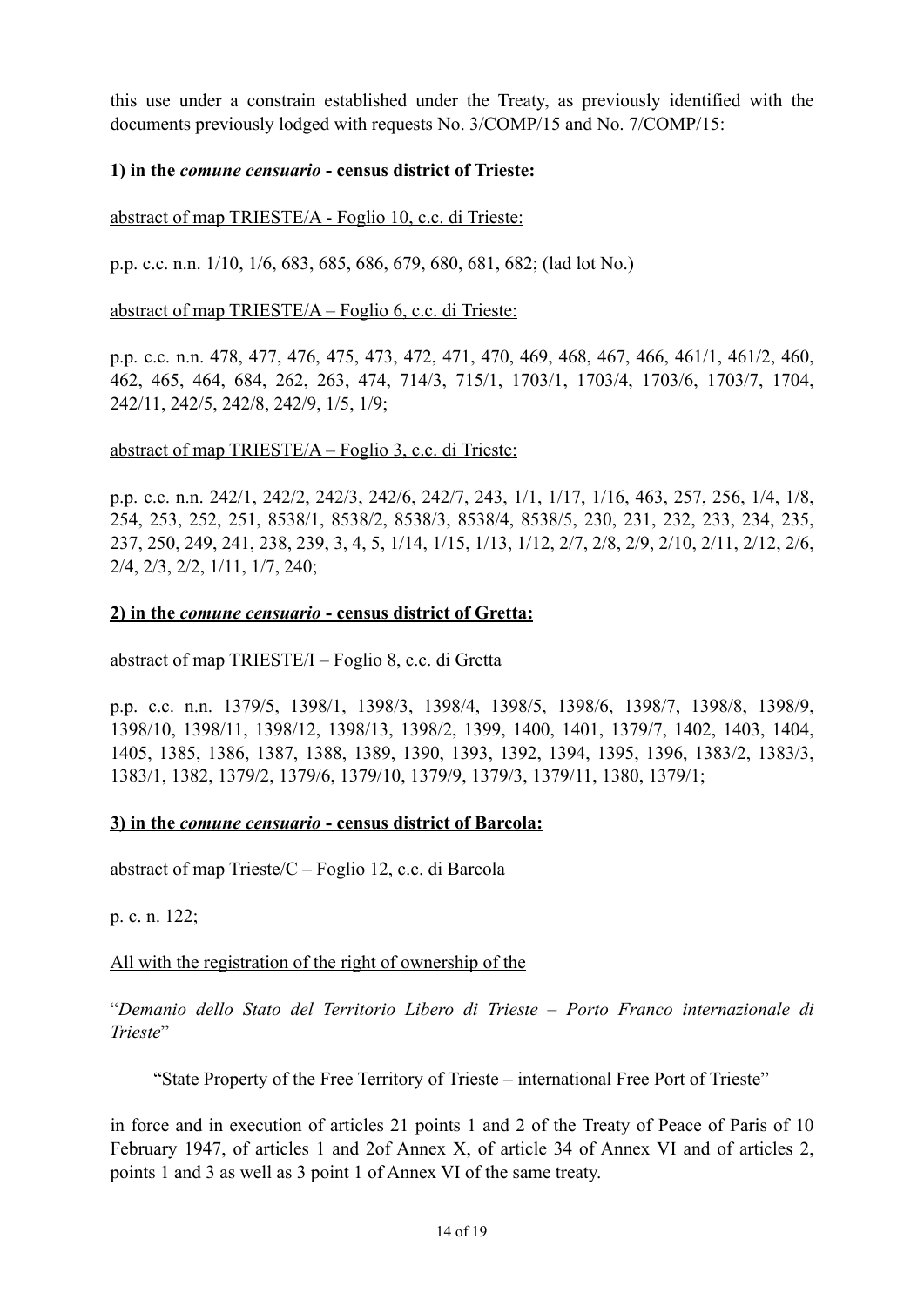this use under a constrain established under the Treaty, as previously identified with the documents previously lodged with requests No. 3/COMP/15 and No. 7/COMP/15:

### **1) in the** *comune censuario* **- census district of Trieste:**

abstract of map TRIESTE/A - Foglio 10, c.c. di Trieste:

p.p. c.c. n.n. 1/10, 1/6, 683, 685, 686, 679, 680, 681, 682; (lad lot No.)

abstract of map TRIESTE/A – Foglio 6, c.c. di Trieste:

p.p. c.c. n.n. 478, 477, 476, 475, 473, 472, 471, 470, 469, 468, 467, 466, 461/1, 461/2, 460, 462, 465, 464, 684, 262, 263, 474, 714/3, 715/1, 1703/1, 1703/4, 1703/6, 1703/7, 1704, 242/11, 242/5, 242/8, 242/9, 1/5, 1/9;

#### abstract of map TRIESTE/A – Foglio 3, c.c. di Trieste:

p.p. c.c. n.n. 242/1, 242/2, 242/3, 242/6, 242/7, 243, 1/1, 1/17, 1/16, 463, 257, 256, 1/4, 1/8, 254, 253, 252, 251, 8538/1, 8538/2, 8538/3, 8538/4, 8538/5, 230, 231, 232, 233, 234, 235, 237, 250, 249, 241, 238, 239, 3, 4, 5, 1/14, 1/15, 1/13, 1/12, 2/7, 2/8, 2/9, 2/10, 2/11, 2/12, 2/6, 2/4, 2/3, 2/2, 1/11, 1/7, 240;

#### **2) in the** *comune censuario* **- census district of Gretta:**

abstract of map TRIESTE/I – Foglio 8, c.c. di Gretta

p.p. c.c. n.n. 1379/5, 1398/1, 1398/3, 1398/4, 1398/5, 1398/6, 1398/7, 1398/8, 1398/9, 1398/10, 1398/11, 1398/12, 1398/13, 1398/2, 1399, 1400, 1401, 1379/7, 1402, 1403, 1404, 1405, 1385, 1386, 1387, 1388, 1389, 1390, 1393, 1392, 1394, 1395, 1396, 1383/2, 1383/3, 1383/1, 1382, 1379/2, 1379/6, 1379/10, 1379/9, 1379/3, 1379/11, 1380, 1379/1;

#### **3) in the** *comune censuario* **- census district of Barcola:**

abstract of map Trieste/C – Foglio 12, c.c. di Barcola

p. c. n. 122;

All with the registration of the right of ownership of the

"*Demanio dello Stato del Territorio Libero di Trieste – Porto Franco internazionale di Trieste*"

"State Property of the Free Territory of Trieste – international Free Port of Trieste"

in force and in execution of articles 21 points 1 and 2 of the Treaty of Peace of Paris of 10 February 1947, of articles 1 and 2of Annex X, of article 34 of Annex VI and of articles 2, points 1 and 3 as well as 3 point 1 of Annex VI of the same treaty.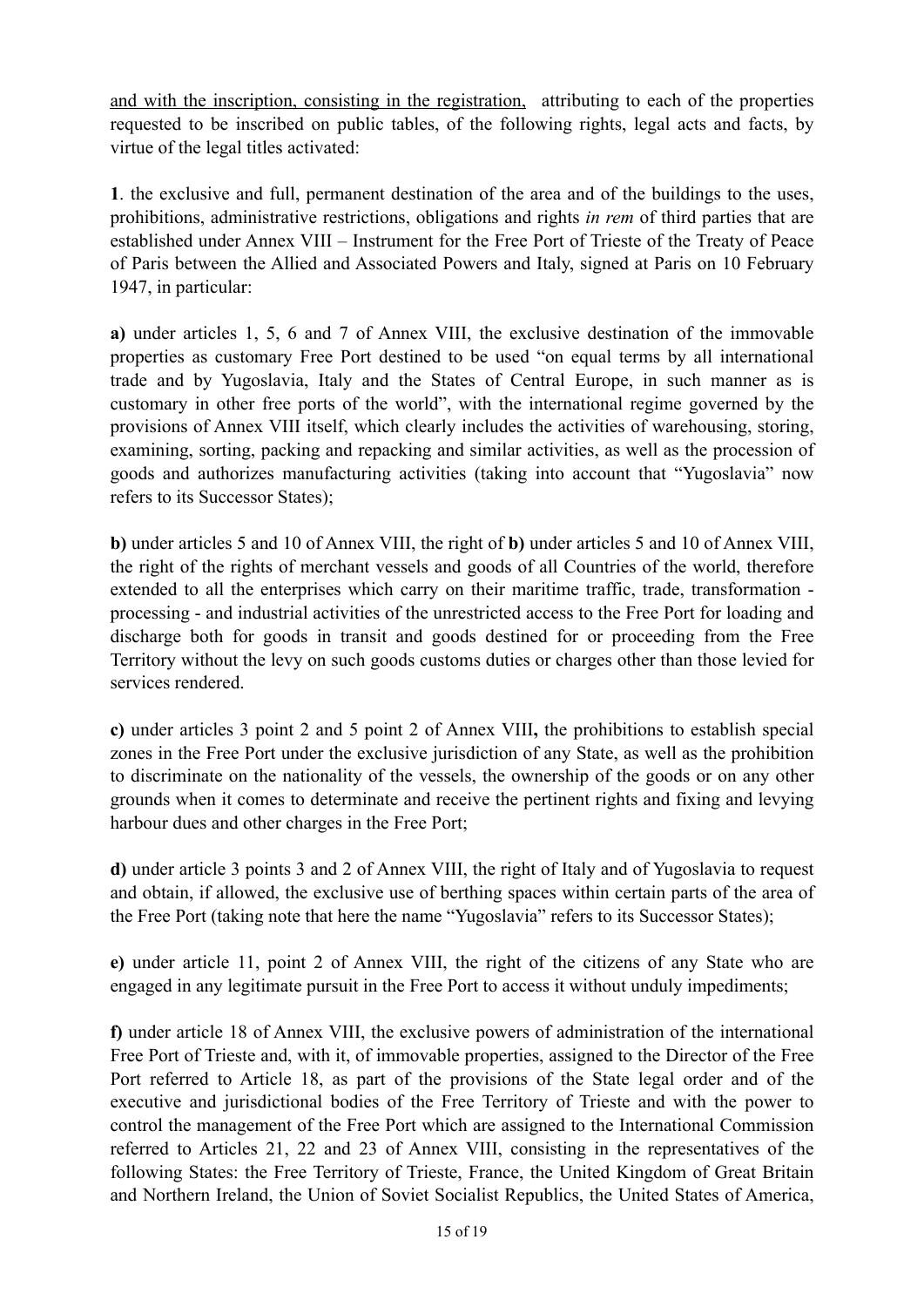and with the inscription, consisting in the registration, attributing to each of the properties requested to be inscribed on public tables, of the following rights, legal acts and facts, by virtue of the legal titles activated:

**1**. the exclusive and full, permanent destination of the area and of the buildings to the uses, prohibitions, administrative restrictions, obligations and rights *in rem* of third parties that are established under Annex VIII – Instrument for the Free Port of Trieste of the Treaty of Peace of Paris between the Allied and Associated Powers and Italy, signed at Paris on 10 February 1947, in particular:

**a)** under articles 1, 5, 6 and 7 of Annex VIII, the exclusive destination of the immovable properties as customary Free Port destined to be used "on equal terms by all international trade and by Yugoslavia, Italy and the States of Central Europe, in such manner as is customary in other free ports of the world", with the international regime governed by the provisions of Annex VIII itself, which clearly includes the activities of warehousing, storing, examining, sorting, packing and repacking and similar activities, as well as the procession of goods and authorizes manufacturing activities (taking into account that "Yugoslavia" now refers to its Successor States);

**b)** under articles 5 and 10 of Annex VIII, the right of **b)** under articles 5 and 10 of Annex VIII, the right of the rights of merchant vessels and goods of all Countries of the world, therefore extended to all the enterprises which carry on their maritime traffic, trade, transformation processing - and industrial activities of the unrestricted access to the Free Port for loading and discharge both for goods in transit and goods destined for or proceeding from the Free Territory without the levy on such goods customs duties or charges other than those levied for services rendered.

**c)** under articles 3 point 2 and 5 point 2 of Annex VIII**,** the prohibitions to establish special zones in the Free Port under the exclusive jurisdiction of any State, as well as the prohibition to discriminate on the nationality of the vessels, the ownership of the goods or on any other grounds when it comes to determinate and receive the pertinent rights and fixing and levying harbour dues and other charges in the Free Port;

**d)** under article 3 points 3 and 2 of Annex VIII, the right of Italy and of Yugoslavia to request and obtain, if allowed, the exclusive use of berthing spaces within certain parts of the area of the Free Port (taking note that here the name "Yugoslavia" refers to its Successor States);

**e)** under article 11, point 2 of Annex VIII, the right of the citizens of any State who are engaged in any legitimate pursuit in the Free Port to access it without unduly impediments;

**f)** under article 18 of Annex VIII, the exclusive powers of administration of the international Free Port of Trieste and, with it, of immovable properties, assigned to the Director of the Free Port referred to Article 18, as part of the provisions of the State legal order and of the executive and jurisdictional bodies of the Free Territory of Trieste and with the power to control the management of the Free Port which are assigned to the International Commission referred to Articles 21, 22 and 23 of Annex VIII, consisting in the representatives of the following States: the Free Territory of Trieste, France, the United Kingdom of Great Britain and Northern Ireland, the Union of Soviet Socialist Republics, the United States of America,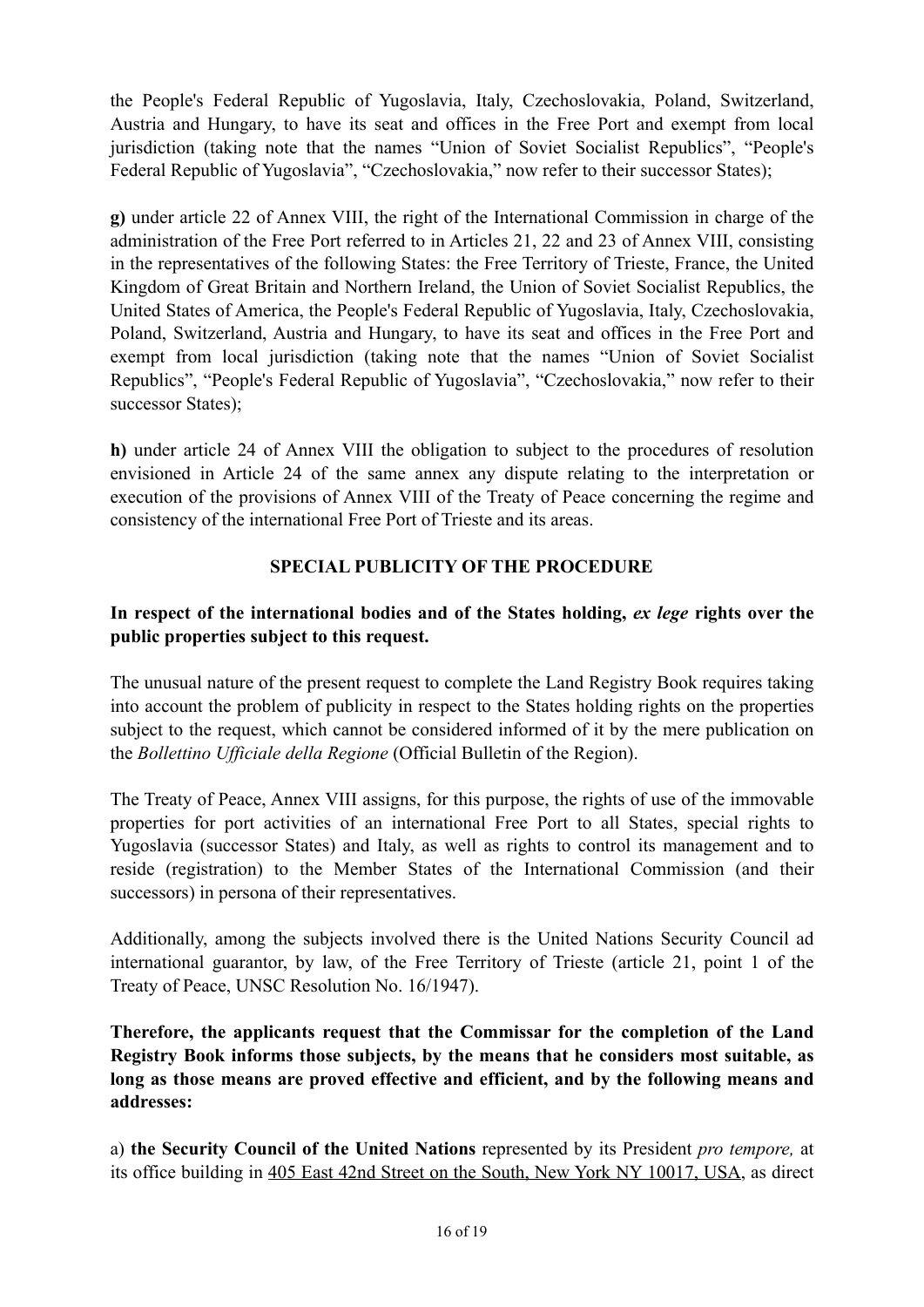the People's Federal Republic of Yugoslavia, Italy, Czechoslovakia, Poland, Switzerland, Austria and Hungary, to have its seat and offices in the Free Port and exempt from local jurisdiction (taking note that the names "Union of Soviet Socialist Republics", "People's Federal Republic of Yugoslavia", "Czechoslovakia," now refer to their successor States);

**g)** under article 22 of Annex VIII, the right of the International Commission in charge of the administration of the Free Port referred to in Articles 21, 22 and 23 of Annex VIII, consisting in the representatives of the following States: the Free Territory of Trieste, France, the United Kingdom of Great Britain and Northern Ireland, the Union of Soviet Socialist Republics, the United States of America, the People's Federal Republic of Yugoslavia, Italy, Czechoslovakia, Poland, Switzerland, Austria and Hungary, to have its seat and offices in the Free Port and exempt from local jurisdiction (taking note that the names "Union of Soviet Socialist Republics", "People's Federal Republic of Yugoslavia", "Czechoslovakia," now refer to their successor States);

**h)** under article 24 of Annex VIII the obligation to subject to the procedures of resolution envisioned in Article 24 of the same annex any dispute relating to the interpretation or execution of the provisions of Annex VIII of the Treaty of Peace concerning the regime and consistency of the international Free Port of Trieste and its areas.

# **SPECIAL PUBLICITY OF THE PROCEDURE**

# **In respect of the international bodies and of the States holding,** *ex lege* **rights over the public properties subject to this request.**

The unusual nature of the present request to complete the Land Registry Book requires taking into account the problem of publicity in respect to the States holding rights on the properties subject to the request, which cannot be considered informed of it by the mere publication on the *Bollettino Ufficiale della Regione* (Official Bulletin of the Region).

The Treaty of Peace, Annex VIII assigns, for this purpose, the rights of use of the immovable properties for port activities of an international Free Port to all States, special rights to Yugoslavia (successor States) and Italy, as well as rights to control its management and to reside (registration) to the Member States of the International Commission (and their successors) in persona of their representatives.

Additionally, among the subjects involved there is the United Nations Security Council ad international guarantor, by law, of the Free Territory of Trieste (article 21, point 1 of the Treaty of Peace, UNSC Resolution No. 16/1947).

**Therefore, the applicants request that the Commissar for the completion of the Land Registry Book informs those subjects, by the means that he considers most suitable, as long as those means are proved effective and efficient, and by the following means and addresses:** 

a) **the Security Council of the United Nations** represented by its President *pro tempore,* at its office building in 405 East 42nd Street on the South, New York NY 10017, USA, as direct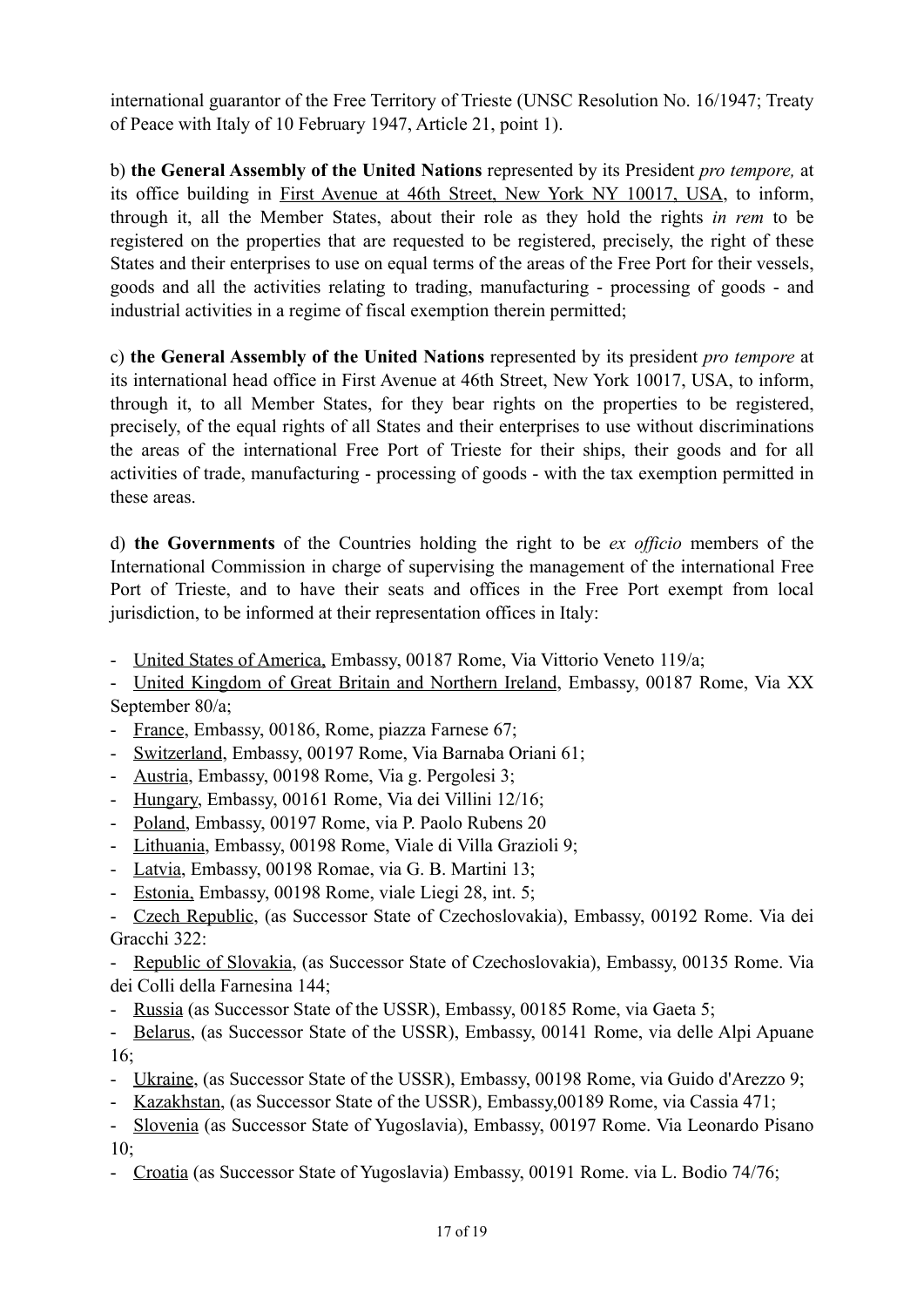international guarantor of the Free Territory of Trieste (UNSC Resolution No. 16/1947; Treaty of Peace with Italy of 10 February 1947, Article 21, point 1).

b) **the General Assembly of the United Nations** represented by its President *pro tempore,* at its office building in First Avenue at 46th Street, New York NY 10017, USA, to inform, through it, all the Member States, about their role as they hold the rights *in rem* to be registered on the properties that are requested to be registered, precisely, the right of these States and their enterprises to use on equal terms of the areas of the Free Port for their vessels, goods and all the activities relating to trading, manufacturing - processing of goods - and industrial activities in a regime of fiscal exemption therein permitted;

c) **the General Assembly of the United Nations** represented by its president *pro tempore* at its international head office in First Avenue at 46th Street, New York 10017, USA, to inform, through it, to all Member States, for they bear rights on the properties to be registered, precisely, of the equal rights of all States and their enterprises to use without discriminations the areas of the international Free Port of Trieste for their ships, their goods and for all activities of trade, manufacturing - processing of goods - with the tax exemption permitted in these areas.

d) **the Governments** of the Countries holding the right to be *ex officio* members of the International Commission in charge of supervising the management of the international Free Port of Trieste, and to have their seats and offices in the Free Port exempt from local jurisdiction, to be informed at their representation offices in Italy:

- United States of America, Embassy, 00187 Rome, Via Vittorio Veneto 119/a;

- United Kingdom of Great Britain and Northern Ireland, Embassy, 00187 Rome, Via XX September 80/a;

- France, Embassy, 00186, Rome, piazza Farnese 67;
- Switzerland, Embassy, 00197 Rome, Via Barnaba Oriani 61;
- Austria, Embassy, 00198 Rome, Via g. Pergolesi 3;
- Hungary, Embassy, 00161 Rome, Via dei Villini 12/16;
- Poland, Embassy, 00197 Rome, via P. Paolo Rubens 20
- Lithuania, Embassy, 00198 Rome, Viale di Villa Grazioli 9;
- Latvia, Embassy, 00198 Romae, via G. B. Martini 13;
- Estonia, Embassy, 00198 Rome, viale Liegi 28, int. 5;

- Czech Republic, (as Successor State of Czechoslovakia), Embassy, 00192 Rome. Via dei Gracchi 322:

- Republic of Slovakia, (as Successor State of Czechoslovakia), Embassy, 00135 Rome. Via dei Colli della Farnesina 144;

- Russia (as Successor State of the USSR), Embassy, 00185 Rome, via Gaeta 5;

- Belarus, (as Successor State of the USSR), Embassy, 00141 Rome, via delle Alpi Apuane 16;

- Ukraine, (as Successor State of the USSR), Embassy, 00198 Rome, via Guido d'Arezzo 9;
- Kazakhstan, (as Successor State of the USSR), Embassy,00189 Rome, via Cassia 471;

- Slovenia (as Successor State of Yugoslavia), Embassy, 00197 Rome. Via Leonardo Pisano  $10<sup>5</sup>$ 

- Croatia (as Successor State of Yugoslavia) Embassy, 00191 Rome. via L. Bodio 74/76;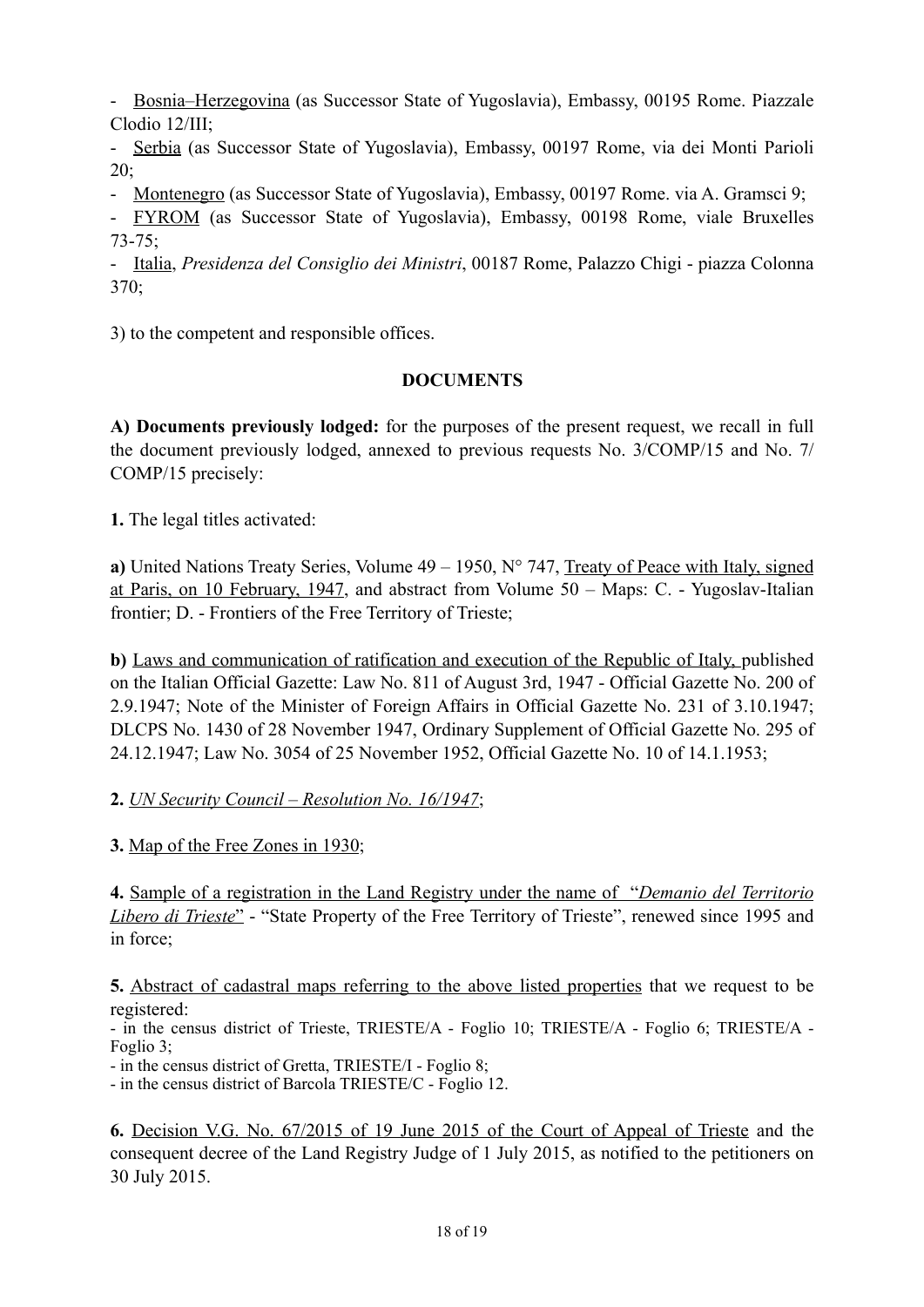- Bosnia–Herzegovina (as Successor State of Yugoslavia), Embassy, 00195 Rome. Piazzale Clodio 12/III;

- Serbia (as Successor State of Yugoslavia), Embassy, 00197 Rome, via dei Monti Parioli 20;

- Montenegro (as Successor State of Yugoslavia), Embassy, 00197 Rome. via A. Gramsci 9;

- FYROM (as Successor State of Yugoslavia), Embassy, 00198 Rome, viale Bruxelles 73-75;

- Italia, *Presidenza del Consiglio dei Ministri*, 00187 Rome, Palazzo Chigi - piazza Colonna 370;

3) to the competent and responsible offices.

# **DOCUMENTS**

**A) Documents previously lodged:** for the purposes of the present request, we recall in full the document previously lodged, annexed to previous requests No. 3/COMP/15 and No. 7/ COMP/15 precisely:

**1.** The legal titles activated:

**a)** United Nations Treaty Series, Volume 49 – 1950, N° 747, Treaty of Peace with Italy, signed at Paris, on 10 February, 1947, and abstract from Volume 50 – Maps: C. - Yugoslav-Italian frontier; D. - Frontiers of the Free Territory of Trieste;

**b)** Laws and communication of ratification and execution of the Republic of Italy, published on the Italian Official Gazette: Law No. 811 of August 3rd, 1947 - Official Gazette No. 200 of 2.9.1947; Note of the Minister of Foreign Affairs in Official Gazette No. 231 of 3.10.1947; DLCPS No. 1430 of 28 November 1947, Ordinary Supplement of Official Gazette No. 295 of 24.12.1947; Law No. 3054 of 25 November 1952, Official Gazette No. 10 of 14.1.1953;

# **2.** *UN Security Council – Resolution No. 16/1947*;

**3.** Map of the Free Zones in 1930;

**4.** Sample of a registration in the Land Registry under the name of "*Demanio del Territorio Libero di Trieste*" - "State Property of the Free Territory of Trieste", renewed since 1995 and in force;

**5.** Abstract of cadastral maps referring to the above listed properties that we request to be registered:

- in the census district of Trieste, TRIESTE/A - Foglio 10; TRIESTE/A - Foglio 6; TRIESTE/A - Foglio 3;

- in the census district of Gretta, TRIESTE/I - Foglio 8;

- in the census district of Barcola TRIESTE/C - Foglio 12.

**6.** Decision V.G. No. 67/2015 of 19 June 2015 of the Court of Appeal of Trieste and the consequent decree of the Land Registry Judge of 1 July 2015, as notified to the petitioners on 30 July 2015.